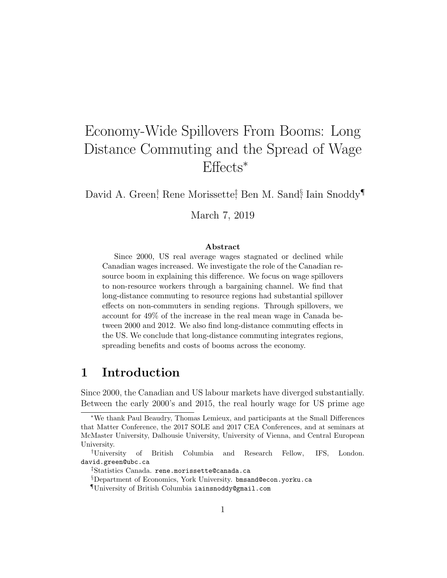# Economy-Wide Spillovers From Booms: Long Distance Commuting and the Spread of Wage Effects<sup>∗</sup>

David A. Green<sup>†</sup> Rene Morissette<sup>‡</sup> Ben M. Sand<sup>§</sup> Iain Snoddy<sup>¶</sup>

March 7, 2019

#### Abstract

Since 2000, US real average wages stagnated or declined while Canadian wages increased. We investigate the role of the Canadian resource boom in explaining this difference. We focus on wage spillovers to non-resource workers through a bargaining channel. We find that long-distance commuting to resource regions had substantial spillover effects on non-commuters in sending regions. Through spillovers, we account for 49% of the increase in the real mean wage in Canada between 2000 and 2012. We also find long-distance commuting effects in the US. We conclude that long-distance commuting integrates regions, spreading benefits and costs of booms across the economy.

### 1 Introduction

Since 2000, the Canadian and US labour markets have diverged substantially. Between the early 2000's and 2015, the real hourly wage for US prime age

<sup>∗</sup>We thank Paul Beaudry, Thomas Lemieux, and participants at the Small Differences that Matter Conference, the 2017 SOLE and 2017 CEA Conferences, and at seminars at McMaster University, Dalhousie University, University of Vienna, and Central European University.

<sup>†</sup>University of British Columbia and Research Fellow, IFS, London. david.green@ubc.ca

<sup>‡</sup>Statistics Canada. rene.morissette@canada.ca

<sup>§</sup>Department of Economics, York University. bmsand@econ.yorku.ca

<sup>¶</sup>University of British Columbia iainsnoddy@gmail.com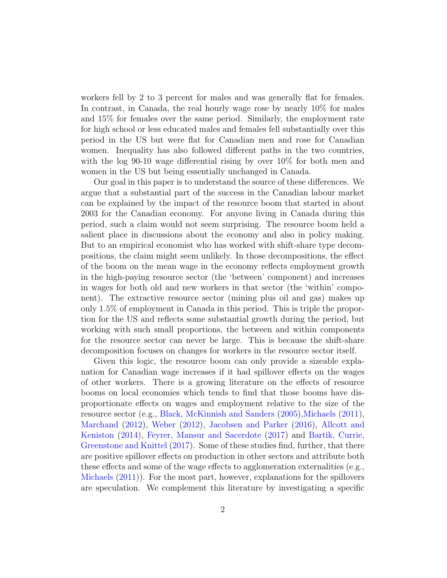workers fell by 2 to 3 percent for males and was generally flat for females. In contrast, in Canada, the real hourly wage rose by nearly 10% for males and 15% for females over the same period. Similarly, the employment rate for high school or less educated males and females fell substantially over this period in the US but were flat for Canadian men and rose for Canadian women. Inequality has also followed different paths in the two countries, with the log 90-10 wage differential rising by over  $10\%$  for both men and women in the US but being essentially unchanged in Canada.

Our goal in this paper is to understand the source of these differences. We argue that a substantial part of the success in the Canadian labour market can be explained by the impact of the resource boom that started in about 2003 for the Canadian economy. For anyone living in Canada during this period, such a claim would not seem surprising. The resource boom held a salient place in discussions about the economy and also in policy making. But to an empirical economist who has worked with shift-share type decompositions, the claim might seem unlikely. In those decompositions, the effect of the boom on the mean wage in the economy reflects employment growth in the high-paying resource sector (the 'between' component) and increases in wages for both old and new workers in that sector (the 'within' component). The extractive resource sector (mining plus oil and gas) makes up only 1.5% of employment in Canada in this period. This is triple the proportion for the US and reflects some substantial growth during the period, but working with such small proportions, the between and within components for the resource sector can never be large. This is because the shift-share decomposition focuses on changes for workers in the resource sector itself.

Given this logic, the resource boom can only provide a sizeable explanation for Canadian wage increases if it had spillover effects on the wages of other workers. There is a growing literature on the effects of resource booms on local economies which tends to find that those booms have disproportionate effects on wages and employment relative to the size of the resource sector (e.g., [Black, McKinnish and Sanders](#page-44-0) [\(2005\)](#page-44-0)[,Michaels](#page-45-0) [\(2011\)](#page-45-0), [Marchand](#page-45-1) [\(2012\)](#page-45-1), [Weber](#page-46-0) [\(2012\)](#page-46-0), [Jacobsen and Parker](#page-45-2) [\(2016\)](#page-45-2), [Allcott and](#page-44-1) [Keniston](#page-44-1) [\(2014\)](#page-44-1), [Feyrer, Mansur and Sacerdote](#page-44-2) [\(2017\)](#page-44-2) and [Bartik, Currie,](#page-44-3) [Greenstone and Knittel](#page-44-3) [\(2017\)](#page-44-3). Some of these studies find, further, that there are positive spillover effects on production in other sectors and attribute both these effects and some of the wage effects to agglomeration externalities (e.g., [Michaels](#page-45-0) [\(2011\)](#page-45-0)). For the most part, however, explanations for the spillovers are speculation. We complement this literature by investigating a specific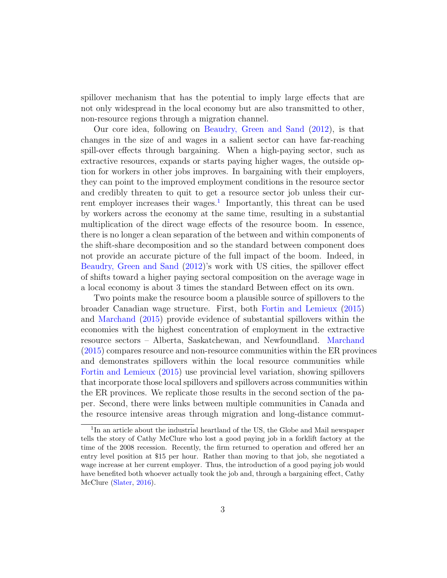spillover mechanism that has the potential to imply large effects that are not only widespread in the local economy but are also transmitted to other, non-resource regions through a migration channel.

Our core idea, following on [Beaudry, Green and Sand](#page-44-4) [\(2012\)](#page-44-4), is that changes in the size of and wages in a salient sector can have far-reaching spill-over effects through bargaining. When a high-paying sector, such as extractive resources, expands or starts paying higher wages, the outside option for workers in other jobs improves. In bargaining with their employers, they can point to the improved employment conditions in the resource sector and credibly threaten to quit to get a resource sector job unless their cur-rent employer increases their wages.<sup>[1](#page-2-0)</sup> Importantly, this threat can be used by workers across the economy at the same time, resulting in a substantial multiplication of the direct wage effects of the resource boom. In essence, there is no longer a clean separation of the between and within components of the shift-share decomposition and so the standard between component does not provide an accurate picture of the full impact of the boom. Indeed, in [Beaudry, Green and Sand](#page-44-4) [\(2012\)](#page-44-4)'s work with US cities, the spillover effect of shifts toward a higher paying sectoral composition on the average wage in a local economy is about 3 times the standard Between effect on its own.

Two points make the resource boom a plausible source of spillovers to the broader Canadian wage structure. First, both [Fortin and Lemieux](#page-45-3) [\(2015\)](#page-45-3) and [Marchand](#page-45-4) [\(2015\)](#page-45-4) provide evidence of substantial spillovers within the economies with the highest concentration of employment in the extractive resource sectors – Alberta, Saskatchewan, and Newfoundland. [Marchand](#page-45-4) [\(2015\)](#page-45-4) compares resource and non-resource communities within the ER provinces and demonstrates spillovers within the local resource communities while [Fortin and Lemieux](#page-45-3) [\(2015\)](#page-45-3) use provincial level variation, showing spillovers that incorporate those local spillovers and spillovers across communities within the ER provinces. We replicate those results in the second section of the paper. Second, there were links between multiple communities in Canada and the resource intensive areas through migration and long-distance commut-

<span id="page-2-0"></span><sup>&</sup>lt;sup>1</sup>In an article about the industrial heartland of the US, the Globe and Mail newspaper tells the story of Cathy McClure who lost a good paying job in a forklift factory at the time of the 2008 recession. Recently, the firm returned to operation and offered her an entry level position at \$15 per hour. Rather than moving to that job, she negotiated a wage increase at her current employer. Thus, the introduction of a good paying job would have benefited both whoever actually took the job and, through a bargaining effect, Cathy McClure [\(Slater,](#page-46-1) [2016\)](#page-46-1).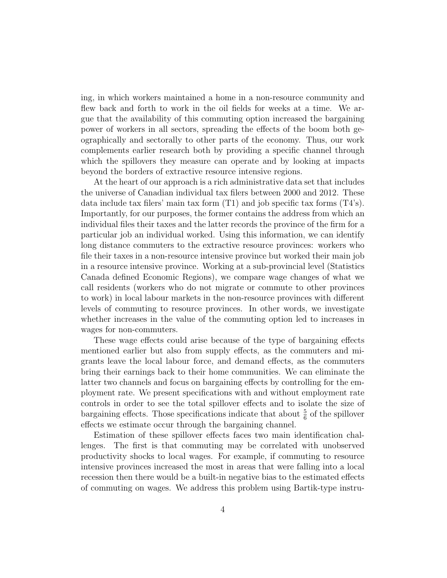ing, in which workers maintained a home in a non-resource community and flew back and forth to work in the oil fields for weeks at a time. We argue that the availability of this commuting option increased the bargaining power of workers in all sectors, spreading the effects of the boom both geographically and sectorally to other parts of the economy. Thus, our work complements earlier research both by providing a specific channel through which the spillovers they measure can operate and by looking at impacts beyond the borders of extractive resource intensive regions.

At the heart of our approach is a rich administrative data set that includes the universe of Canadian individual tax filers between 2000 and 2012. These data include tax filers' main tax form (T1) and job specific tax forms (T4's). Importantly, for our purposes, the former contains the address from which an individual files their taxes and the latter records the province of the firm for a particular job an individual worked. Using this information, we can identify long distance commuters to the extractive resource provinces: workers who file their taxes in a non-resource intensive province but worked their main job in a resource intensive province. Working at a sub-provincial level (Statistics Canada defined Economic Regions), we compare wage changes of what we call residents (workers who do not migrate or commute to other provinces to work) in local labour markets in the non-resource provinces with different levels of commuting to resource provinces. In other words, we investigate whether increases in the value of the commuting option led to increases in wages for non-commuters.

These wage effects could arise because of the type of bargaining effects mentioned earlier but also from supply effects, as the commuters and migrants leave the local labour force, and demand effects, as the commuters bring their earnings back to their home communities. We can eliminate the latter two channels and focus on bargaining effects by controlling for the employment rate. We present specifications with and without employment rate controls in order to see the total spillover effects and to isolate the size of bargaining effects. Those specifications indicate that about  $\frac{5}{6}$  of the spillover effects we estimate occur through the bargaining channel.

Estimation of these spillover effects faces two main identification challenges. The first is that commuting may be correlated with unobserved productivity shocks to local wages. For example, if commuting to resource intensive provinces increased the most in areas that were falling into a local recession then there would be a built-in negative bias to the estimated effects of commuting on wages. We address this problem using Bartik-type instru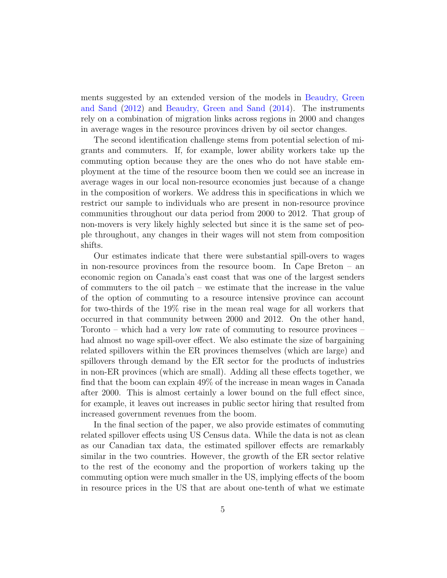ments suggested by an extended version of the models in [Beaudry, Green](#page-44-4) [and Sand](#page-44-4) [\(2012\)](#page-44-4) and [Beaudry, Green and Sand](#page-44-5) [\(2014\)](#page-44-5). The instruments rely on a combination of migration links across regions in 2000 and changes in average wages in the resource provinces driven by oil sector changes.

The second identification challenge stems from potential selection of migrants and commuters. If, for example, lower ability workers take up the commuting option because they are the ones who do not have stable employment at the time of the resource boom then we could see an increase in average wages in our local non-resource economies just because of a change in the composition of workers. We address this in specifications in which we restrict our sample to individuals who are present in non-resource province communities throughout our data period from 2000 to 2012. That group of non-movers is very likely highly selected but since it is the same set of people throughout, any changes in their wages will not stem from composition shifts.

Our estimates indicate that there were substantial spill-overs to wages in non-resource provinces from the resource boom. In Cape Breton – an economic region on Canada's east coast that was one of the largest senders of commuters to the oil patch – we estimate that the increase in the value of the option of commuting to a resource intensive province can account for two-thirds of the 19% rise in the mean real wage for all workers that occurred in that community between 2000 and 2012. On the other hand, Toronto – which had a very low rate of commuting to resource provinces – had almost no wage spill-over effect. We also estimate the size of bargaining related spillovers within the ER provinces themselves (which are large) and spillovers through demand by the ER sector for the products of industries in non-ER provinces (which are small). Adding all these effects together, we find that the boom can explain 49% of the increase in mean wages in Canada after 2000. This is almost certainly a lower bound on the full effect since, for example, it leaves out increases in public sector hiring that resulted from increased government revenues from the boom.

In the final section of the paper, we also provide estimates of commuting related spillover effects using US Census data. While the data is not as clean as our Canadian tax data, the estimated spillover effects are remarkably similar in the two countries. However, the growth of the ER sector relative to the rest of the economy and the proportion of workers taking up the commuting option were much smaller in the US, implying effects of the boom in resource prices in the US that are about one-tenth of what we estimate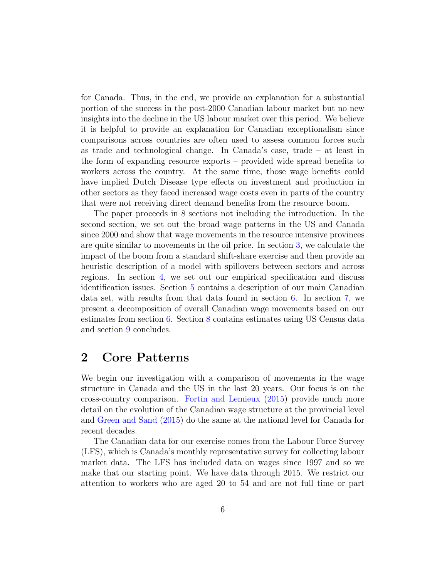for Canada. Thus, in the end, we provide an explanation for a substantial portion of the success in the post-2000 Canadian labour market but no new insights into the decline in the US labour market over this period. We believe it is helpful to provide an explanation for Canadian exceptionalism since comparisons across countries are often used to assess common forces such as trade and technological change. In Canada's case, trade – at least in the form of expanding resource exports – provided wide spread benefits to workers across the country. At the same time, those wage benefits could have implied Dutch Disease type effects on investment and production in other sectors as they faced increased wage costs even in parts of the country that were not receiving direct demand benefits from the resource boom.

The paper proceeds in 8 sections not including the introduction. In the second section, we set out the broad wage patterns in the US and Canada since 2000 and show that wage movements in the resource intensive provinces are quite similar to movements in the oil price. In section [3,](#page-9-0) we calculate the impact of the boom from a standard shift-share exercise and then provide an heuristic description of a model with spillovers between sectors and across regions. In section [4,](#page-15-0) we set out our empirical specification and discuss identification issues. Section [5](#page-22-0) contains a description of our main Canadian data set, with results from that data found in section [6.](#page-28-0) In section [7,](#page-35-0) we present a decomposition of overall Canadian wage movements based on our estimates from section [6.](#page-28-0) Section [8](#page-38-0) contains estimates using US Census data and section [9](#page-40-0) concludes.

### 2 Core Patterns

We begin our investigation with a comparison of movements in the wage structure in Canada and the US in the last 20 years. Our focus is on the cross-country comparison. [Fortin and Lemieux](#page-45-3) [\(2015\)](#page-45-3) provide much more detail on the evolution of the Canadian wage structure at the provincial level and [Green and Sand](#page-45-5) [\(2015\)](#page-45-5) do the same at the national level for Canada for recent decades.

The Canadian data for our exercise comes from the Labour Force Survey (LFS), which is Canada's monthly representative survey for collecting labour market data. The LFS has included data on wages since 1997 and so we make that our starting point. We have data through 2015. We restrict our attention to workers who are aged 20 to 54 and are not full time or part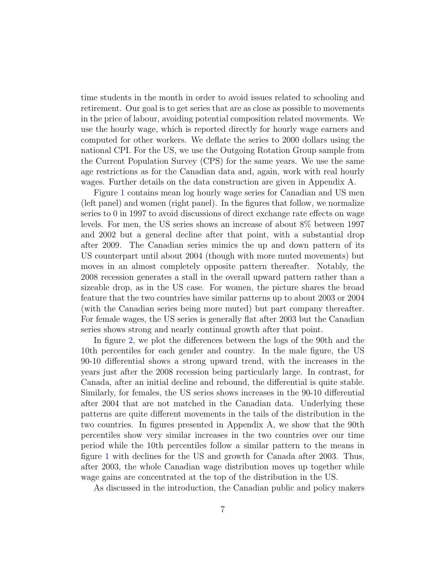time students in the month in order to avoid issues related to schooling and retirement. Our goal is to get series that are as close as possible to movements in the price of labour, avoiding potential composition related movements. We use the hourly wage, which is reported directly for hourly wage earners and computed for other workers. We deflate the series to 2000 dollars using the national CPI. For the US, we use the Outgoing Rotation Group sample from the Current Population Survey (CPS) for the same years. We use the same age restrictions as for the Canadian data and, again, work with real hourly wages. Further details on the data construction are given in Appendix A.

Figure [1](#page-7-0) contains mean log hourly wage series for Canadian and US men (left panel) and women (right panel). In the figures that follow, we normalize series to 0 in 1997 to avoid discussions of direct exchange rate effects on wage levels. For men, the US series shows an increase of about 8% between 1997 and 2002 but a general decline after that point, with a substantial drop after 2009. The Canadian series mimics the up and down pattern of its US counterpart until about 2004 (though with more muted movements) but moves in an almost completely opposite pattern thereafter. Notably, the 2008 recession generates a stall in the overall upward pattern rather than a sizeable drop, as in the US case. For women, the picture shares the broad feature that the two countries have similar patterns up to about 2003 or 2004 (with the Canadian series being more muted) but part company thereafter. For female wages, the US series is generally flat after 2003 but the Canadian series shows strong and nearly continual growth after that point.

In figure [2,](#page-8-0) we plot the differences between the logs of the 90th and the 10th percentiles for each gender and country. In the male figure, the US 90-10 differential shows a strong upward trend, with the increases in the years just after the 2008 recession being particularly large. In contrast, for Canada, after an initial decline and rebound, the differential is quite stable. Similarly, for females, the US series shows increases in the 90-10 differential after 2004 that are not matched in the Canadian data. Underlying these patterns are quite different movements in the tails of the distribution in the two countries. In figures presented in Appendix A, we show that the 90th percentiles show very similar increases in the two countries over our time period while the 10th percentiles follow a similar pattern to the means in figure [1](#page-7-0) with declines for the US and growth for Canada after 2003. Thus, after 2003, the whole Canadian wage distribution moves up together while wage gains are concentrated at the top of the distribution in the US.

As discussed in the introduction, the Canadian public and policy makers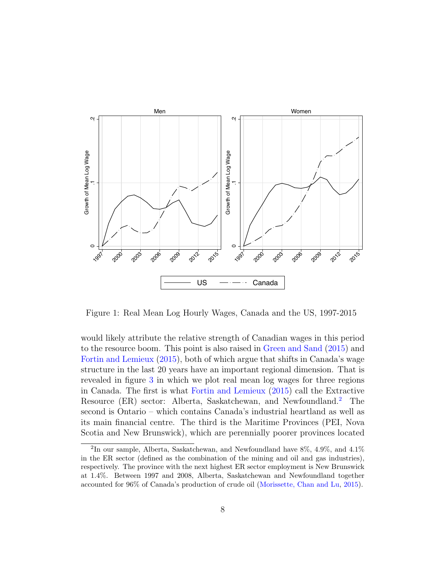

<span id="page-7-0"></span>Figure 1: Real Mean Log Hourly Wages, Canada and the US, 1997-2015

would likely attribute the relative strength of Canadian wages in this period to the resource boom. This point is also raised in [Green and Sand](#page-45-5) [\(2015\)](#page-45-5) and [Fortin and Lemieux](#page-45-3) [\(2015\)](#page-45-3), both of which argue that shifts in Canada's wage structure in the last 20 years have an important regional dimension. That is revealed in figure [3](#page-10-0) in which we plot real mean log wages for three regions in Canada. The first is what [Fortin and Lemieux](#page-45-3) [\(2015\)](#page-45-3) call the Extractive Resource (ER) sector: Alberta, Saskatchewan, and Newfoundland.[2](#page-7-1) The second is Ontario – which contains Canada's industrial heartland as well as its main financial centre. The third is the Maritime Provinces (PEI, Nova Scotia and New Brunswick), which are perennially poorer provinces located

<span id="page-7-1"></span><sup>&</sup>lt;sup>2</sup>In our sample, Alberta, Saskatchewan, and Newfoundland have  $8\%$ , 4.9%, and 4.1% in the ER sector (defined as the combination of the mining and oil and gas industries), respectively. The province with the next highest ER sector employment is New Brunswick at 1.4%. Between 1997 and 2008, Alberta, Saskatchewan and Newfoundland together accounted for 96% of Canada's production of crude oil [\(Morissette, Chan and Lu,](#page-46-2) [2015\)](#page-46-2).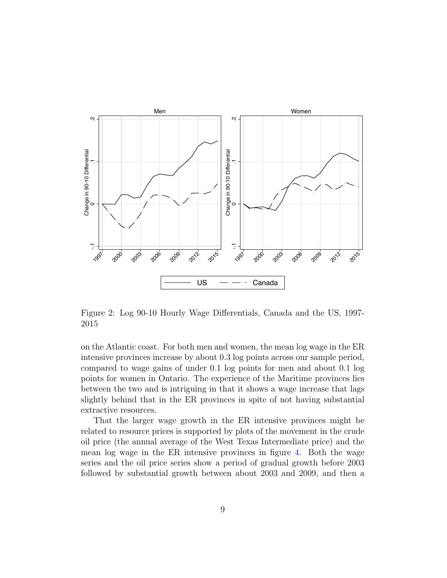

<span id="page-8-0"></span>Figure 2: Log 90-10 Hourly Wage Differentials, Canada and the US, 1997- 2015

on the Atlantic coast. For both men and women, the mean log wage in the ER intensive provinces increase by about 0.3 log points across our sample period, compared to wage gains of under 0.1 log points for men and about 0.1 log points for women in Ontario. The experience of the Maritime provinces lies between the two and is intriguing in that it shows a wage increase that lags slightly behind that in the ER provinces in spite of not having substantial extractive resources.

That the larger wage growth in the ER intensive provinces might be related to resource prices is supported by plots of the movement in the crude oil price (the annual average of the West Texas Intermediate price) and the mean log wage in the ER intensive provinces in figure [4.](#page-11-0) Both the wage series and the oil price series show a period of gradual growth before 2003 followed by substantial growth between about 2003 and 2009, and then a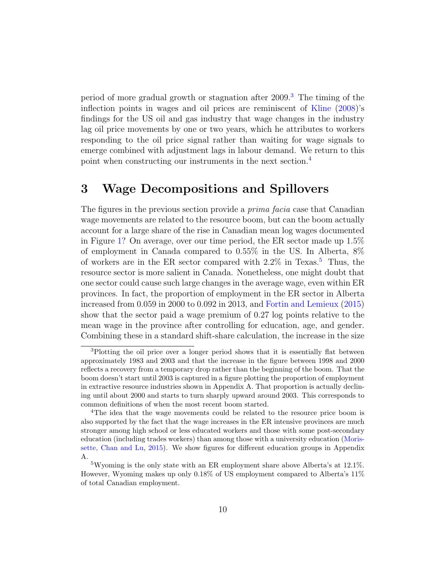period of more gradual growth or stagnation after  $2009<sup>3</sup>$  $2009<sup>3</sup>$  $2009<sup>3</sup>$ . The timing of the inflection points in wages and oil prices are reminiscent of [Kline](#page-45-6) [\(2008\)](#page-45-6)'s findings for the US oil and gas industry that wage changes in the industry lag oil price movements by one or two years, which he attributes to workers responding to the oil price signal rather than waiting for wage signals to emerge combined with adjustment lags in labour demand. We return to this point when constructing our instruments in the next section.[4](#page-9-2)

### <span id="page-9-0"></span>3 Wage Decompositions and Spillovers

The figures in the previous section provide a *prima facia* case that Canadian wage movements are related to the resource boom, but can the boom actually account for a large share of the rise in Canadian mean log wages documented in Figure [1?](#page-7-0) On average, over our time period, the ER sector made up 1.5% of employment in Canada compared to 0.55% in the US. In Alberta, 8% of workers are in the ER sector compared with  $2.2\%$  in Texas.<sup>[5](#page-9-3)</sup> Thus, the resource sector is more salient in Canada. Nonetheless, one might doubt that one sector could cause such large changes in the average wage, even within ER provinces. In fact, the proportion of employment in the ER sector in Alberta increased from 0.059 in 2000 to 0.092 in 2013, and [Fortin and Lemieux](#page-45-3) [\(2015\)](#page-45-3) show that the sector paid a wage premium of 0.27 log points relative to the mean wage in the province after controlling for education, age, and gender. Combining these in a standard shift-share calculation, the increase in the size

<span id="page-9-1"></span><sup>&</sup>lt;sup>3</sup>Plotting the oil price over a longer period shows that it is essentially flat between approximately 1983 and 2003 and that the increase in the figure between 1998 and 2000 reflects a recovery from a temporary drop rather than the beginning of the boom. That the boom doesn't start until 2003 is captured in a figure plotting the proportion of employment in extractive resource industries shown in Appendix A. That proportion is actually declining until about 2000 and starts to turn sharply upward around 2003. This corresponds to common definitions of when the most recent boom started.

<span id="page-9-2"></span><sup>&</sup>lt;sup>4</sup>The idea that the wage movements could be related to the resource price boom is also supported by the fact that the wage increases in the ER intensive provinces are much stronger among high school or less educated workers and those with some post-secondary education (including trades workers) than among those with a university education [\(Moris](#page-46-2)[sette, Chan and Lu,](#page-46-2) [2015\)](#page-46-2). We show figures for different education groups in Appendix A.

<span id="page-9-3"></span> $5$ Wyoming is the only state with an ER employment share above Alberta's at 12.1%. However, Wyoming makes up only 0.18% of US employment compared to Alberta's 11% of total Canadian employment.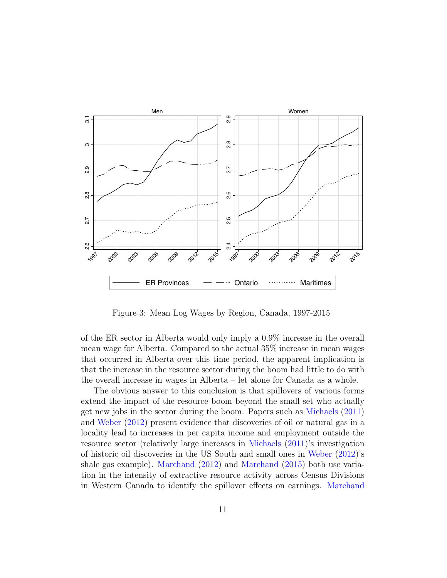

<span id="page-10-0"></span>Figure 3: Mean Log Wages by Region, Canada, 1997-2015

of the ER sector in Alberta would only imply a 0.9% increase in the overall mean wage for Alberta. Compared to the actual 35% increase in mean wages that occurred in Alberta over this time period, the apparent implication is that the increase in the resource sector during the boom had little to do with the overall increase in wages in Alberta – let alone for Canada as a whole.

The obvious answer to this conclusion is that spillovers of various forms extend the impact of the resource boom beyond the small set who actually get new jobs in the sector during the boom. Papers such as [Michaels](#page-45-0) [\(2011\)](#page-45-0) and [Weber](#page-46-0) [\(2012\)](#page-46-0) present evidence that discoveries of oil or natural gas in a locality lead to increases in per capita income and employment outside the resource sector (relatively large increases in [Michaels](#page-45-0) [\(2011\)](#page-45-0)'s investigation of historic oil discoveries in the US South and small ones in [Weber](#page-46-0) [\(2012\)](#page-46-0)'s shale gas example). [Marchand](#page-45-1) [\(2012\)](#page-45-1) and [Marchand](#page-45-4) [\(2015\)](#page-45-4) both use variation in the intensity of extractive resource activity across Census Divisions in Western Canada to identify the spillover effects on earnings. [Marchand](#page-45-4)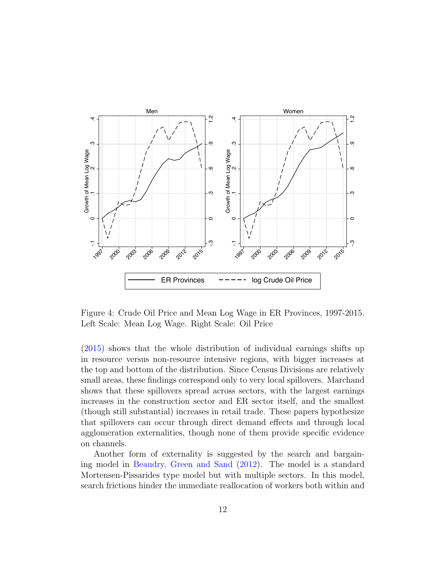

<span id="page-11-0"></span>Figure 4: Crude Oil Price and Mean Log Wage in ER Provinces, 1997-2015. Left Scale: Mean Log Wage. Right Scale: Oil Price

[\(2015\)](#page-45-4) shows that the whole distribution of individual earnings shifts up in resource versus non-resource intensive regions, with bigger increases at the top and bottom of the distribution. Since Census Divisions are relatively small areas, these findings correspond only to very local spillovers. Marchand shows that these spillovers spread across sectors, with the largest earnings increases in the construction sector and ER sector itself, and the smallest (though still substantial) increases in retail trade. These papers hypothesize that spillovers can occur through direct demand effects and through local agglomeration externalities, though none of them provide specific evidence on channels.

Another form of externality is suggested by the search and bargaining model in [Beaudry, Green and Sand](#page-44-4) [\(2012\)](#page-44-4). The model is a standard Mortensen-Pissarides type model but with multiple sectors. In this model, search frictions hinder the immediate reallocation of workers both within and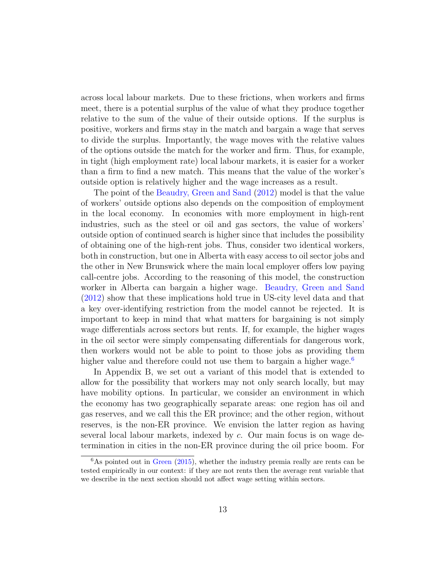across local labour markets. Due to these frictions, when workers and firms meet, there is a potential surplus of the value of what they produce together relative to the sum of the value of their outside options. If the surplus is positive, workers and firms stay in the match and bargain a wage that serves to divide the surplus. Importantly, the wage moves with the relative values of the options outside the match for the worker and firm. Thus, for example, in tight (high employment rate) local labour markets, it is easier for a worker than a firm to find a new match. This means that the value of the worker's outside option is relatively higher and the wage increases as a result.

The point of the [Beaudry, Green and Sand](#page-44-4) [\(2012\)](#page-44-4) model is that the value of workers' outside options also depends on the composition of employment in the local economy. In economies with more employment in high-rent industries, such as the steel or oil and gas sectors, the value of workers' outside option of continued search is higher since that includes the possibility of obtaining one of the high-rent jobs. Thus, consider two identical workers, both in construction, but one in Alberta with easy access to oil sector jobs and the other in New Brunswick where the main local employer offers low paying call-centre jobs. According to the reasoning of this model, the construction worker in Alberta can bargain a higher wage. [Beaudry, Green and Sand](#page-44-4) [\(2012\)](#page-44-4) show that these implications hold true in US-city level data and that a key over-identifying restriction from the model cannot be rejected. It is important to keep in mind that what matters for bargaining is not simply wage differentials across sectors but rents. If, for example, the higher wages in the oil sector were simply compensating differentials for dangerous work, then workers would not be able to point to those jobs as providing them higher value and therefore could not use them to bargain a higher wage.<sup>[6](#page-12-0)</sup>

In Appendix B, we set out a variant of this model that is extended to allow for the possibility that workers may not only search locally, but may have mobility options. In particular, we consider an environment in which the economy has two geographically separate areas: one region has oil and gas reserves, and we call this the ER province; and the other region, without reserves, is the non-ER province. We envision the latter region as having several local labour markets, indexed by c. Our main focus is on wage determination in cities in the non-ER province during the oil price boom. For

<span id="page-12-0"></span> $6$ As pointed out in [Green](#page-45-7) [\(2015\)](#page-45-7), whether the industry premia really are rents can be tested empirically in our context: if they are not rents then the average rent variable that we describe in the next section should not affect wage setting within sectors.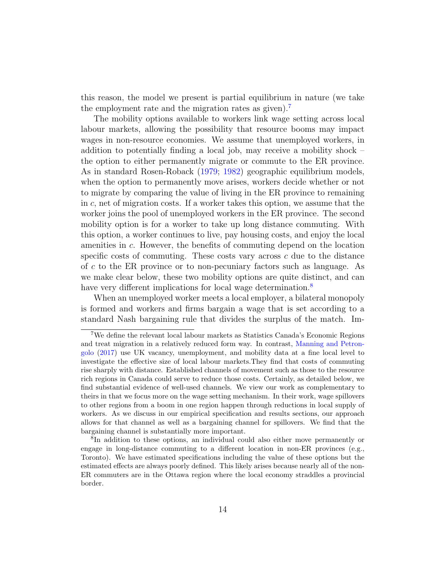this reason, the model we present is partial equilibrium in nature (we take the employment rate and the migration rates as given).<sup>[7](#page-13-0)</sup>

The mobility options available to workers link wage setting across local labour markets, allowing the possibility that resource booms may impact wages in non-resource economies. We assume that unemployed workers, in addition to potentially finding a local job, may receive a mobility shock – the option to either permanently migrate or commute to the ER province. As in standard Rosen-Roback [\(1979;](#page-46-3) [1982\)](#page-46-4) geographic equilibrium models, when the option to permanently move arises, workers decide whether or not to migrate by comparing the value of living in the ER province to remaining in  $c$ , net of migration costs. If a worker takes this option, we assume that the worker joins the pool of unemployed workers in the ER province. The second mobility option is for a worker to take up long distance commuting. With this option, a worker continues to live, pay housing costs, and enjoy the local amenities in c. However, the benefits of commuting depend on the location specific costs of commuting. These costs vary across  $c$  due to the distance of c to the ER province or to non-pecuniary factors such as language. As we make clear below, these two mobility options are quite distinct, and can have very different implications for local wage determination.<sup>[8](#page-13-1)</sup>

When an unemployed worker meets a local employer, a bilateral monopoly is formed and workers and firms bargain a wage that is set according to a standard Nash bargaining rule that divides the surplus of the match. Im-

<span id="page-13-0"></span><sup>7</sup>We define the relevant local labour markets as Statistics Canada's Economic Regions and treat migration in a relatively reduced form way. In contrast, [Manning and Petron](#page-45-8)[golo](#page-45-8) [\(2017\)](#page-45-8) use UK vacancy, unemployment, and mobility data at a fine local level to investigate the effective size of local labour markets.They find that costs of commuting rise sharply with distance. Established channels of movement such as those to the resource rich regions in Canada could serve to reduce those costs. Certainly, as detailed below, we find substantial evidence of well-used channels. We view our work as complementary to theirs in that we focus more on the wage setting mechanism. In their work, wage spillovers to other regions from a boom in one region happen through reductions in local supply of workers. As we discuss in our empirical specification and results sections, our approach allows for that channel as well as a bargaining channel for spillovers. We find that the bargaining channel is substantially more important.

<span id="page-13-1"></span><sup>8</sup> In addition to these options, an individual could also either move permanently or engage in long-distance commuting to a different location in non-ER provinces (e.g., Toronto). We have estimated specifications including the value of these options but the estimated effects are always poorly defined. This likely arises because nearly all of the non-ER commuters are in the Ottawa region where the local economy straddles a provincial border.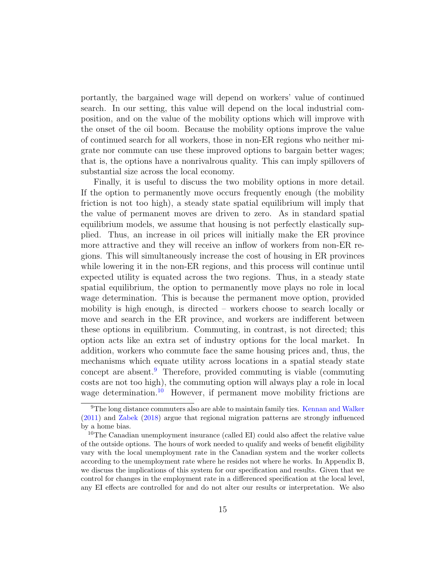portantly, the bargained wage will depend on workers' value of continued search. In our setting, this value will depend on the local industrial composition, and on the value of the mobility options which will improve with the onset of the oil boom. Because the mobility options improve the value of continued search for all workers, those in non-ER regions who neither migrate nor commute can use these improved options to bargain better wages; that is, the options have a nonrivalrous quality. This can imply spillovers of substantial size across the local economy.

Finally, it is useful to discuss the two mobility options in more detail. If the option to permanently move occurs frequently enough (the mobility friction is not too high), a steady state spatial equilibrium will imply that the value of permanent moves are driven to zero. As in standard spatial equilibrium models, we assume that housing is not perfectly elastically supplied. Thus, an increase in oil prices will initially make the ER province more attractive and they will receive an inflow of workers from non-ER regions. This will simultaneously increase the cost of housing in ER provinces while lowering it in the non-ER regions, and this process will continue until expected utility is equated across the two regions. Thus, in a steady state spatial equilibrium, the option to permanently move plays no role in local wage determination. This is because the permanent move option, provided mobility is high enough, is directed – workers choose to search locally or move and search in the ER province, and workers are indifferent between these options in equilibrium. Commuting, in contrast, is not directed; this option acts like an extra set of industry options for the local market. In addition, workers who commute face the same housing prices and, thus, the mechanisms which equate utility across locations in a spatial steady state concept are absent.[9](#page-14-0) Therefore, provided commuting is viable (commuting costs are not too high), the commuting option will always play a role in local wage determination.<sup>[10](#page-14-1)</sup> However, if permanent move mobility frictions are

<span id="page-14-0"></span><sup>&</sup>lt;sup>9</sup>The long distance commuters also are able to maintain family ties. [Kennan and Walker](#page-45-9) [\(2011\)](#page-45-9) and [Zabek](#page-46-5) [\(2018\)](#page-46-5) argue that regional migration patterns are strongly influenced by a home bias.

<span id="page-14-1"></span><sup>&</sup>lt;sup>10</sup>The Canadian unemployment insurance (called EI) could also affect the relative value of the outside options. The hours of work needed to qualify and weeks of benefit eligibility vary with the local unemployment rate in the Canadian system and the worker collects according to the unemployment rate where he resides not where he works. In Appendix B, we discuss the implications of this system for our specification and results. Given that we control for changes in the employment rate in a differenced specification at the local level, any EI effects are controlled for and do not alter our results or interpretation. We also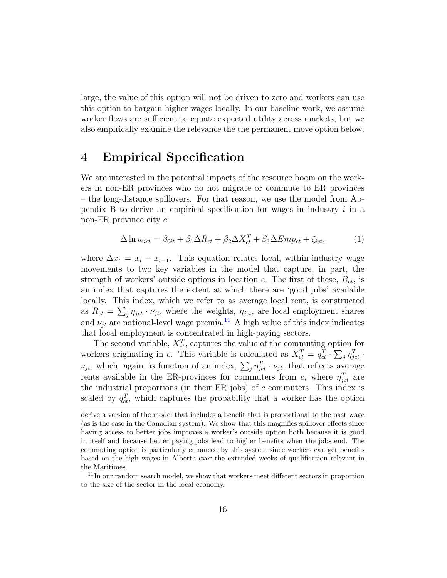large, the value of this option will not be driven to zero and workers can use this option to bargain higher wages locally. In our baseline work, we assume worker flows are sufficient to equate expected utility across markets, but we also empirically examine the relevance the the permanent move option below.

### <span id="page-15-0"></span>4 Empirical Specification

We are interested in the potential impacts of the resource boom on the workers in non-ER provinces who do not migrate or commute to ER provinces – the long-distance spillovers. For that reason, we use the model from Appendix B to derive an empirical specification for wages in industry  $i$  in a non-ER province city  $c$ :

<span id="page-15-2"></span>
$$
\Delta \ln w_{ict} = \beta_{0it} + \beta_1 \Delta R_{ct} + \beta_2 \Delta X_{ct}^T + \beta_3 \Delta Emp_{ct} + \xi_{ict}, \tag{1}
$$

where  $\Delta x_t = x_t - x_{t-1}$ . This equation relates local, within-industry wage movements to two key variables in the model that capture, in part, the strength of workers' outside options in location c. The first of these,  $R_{ct}$ , is an index that captures the extent at which there are 'good jobs' available locally. This index, which we refer to as average local rent, is constructed as  $R_{ct} = \sum_{j} \eta_{jet} \cdot \nu_{jt}$ , where the weights,  $\eta_{jet}$ , are local employment shares and  $\nu_{jt}$  are national-level wage premia.<sup>[11](#page-15-1)</sup> A high value of this index indicates that local employment is concentrated in high-paying sectors.

The second variable,  $X_{ct}^T$ , captures the value of the commuting option for workers originating in c. This variable is calculated as  $X_{ct}^T = q_{ct}^T \cdot \sum_j \eta_{jct}^T$ .  $\nu_{jt}$ , which, again, is function of an index,  $\sum_j \eta_{jet}^T \cdot \nu_{jt}$ , that reflects average rents available in the ER-provinces for commuters from c, where  $\eta_{jet}^T$  are the industrial proportions (in their ER jobs) of  $c$  commuters. This index is scaled by  $q_{ct}^T$ , which captures the probability that a worker has the option

derive a version of the model that includes a benefit that is proportional to the past wage (as is the case in the Canadian system). We show that this magnifies spillover effects since having access to better jobs improves a worker's outside option both because it is good in itself and because better paying jobs lead to higher benefits when the jobs end. The commuting option is particularly enhanced by this system since workers can get benefits based on the high wages in Alberta over the extended weeks of qualification relevant in the Maritimes.

<span id="page-15-1"></span><sup>&</sup>lt;sup>11</sup>In our random search model, we show that workers meet different sectors in proportion to the size of the sector in the local economy.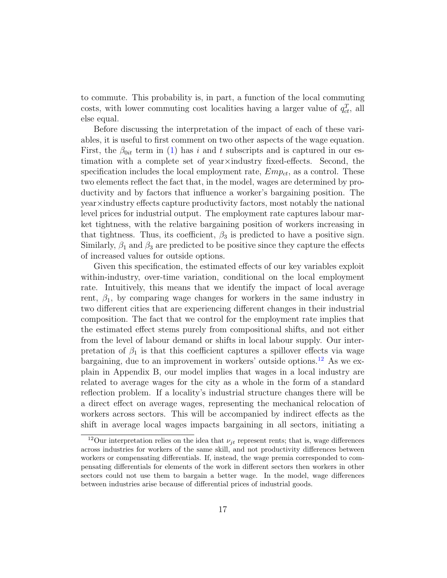to commute. This probability is, in part, a function of the local commuting costs, with lower commuting cost localities having a larger value of  $q_{ct}^T$ , all else equal.

Before discussing the interpretation of the impact of each of these variables, it is useful to first comment on two other aspects of the wage equation. First, the  $\beta_{0it}$  term in [\(1\)](#page-15-2) has i and t subscripts and is captured in our estimation with a complete set of year×industry fixed-effects. Second, the specification includes the local employment rate,  $Emp_{ct}$ , as a control. These two elements reflect the fact that, in the model, wages are determined by productivity and by factors that influence a worker's bargaining position. The year×industry effects capture productivity factors, most notably the national level prices for industrial output. The employment rate captures labour market tightness, with the relative bargaining position of workers increasing in that tightness. Thus, its coefficient,  $\beta_3$  is predicted to have a positive sign. Similarly,  $\beta_1$  and  $\beta_3$  are predicted to be positive since they capture the effects of increased values for outside options.

Given this specification, the estimated effects of our key variables exploit within-industry, over-time variation, conditional on the local employment rate. Intuitively, this means that we identify the impact of local average rent,  $\beta_1$ , by comparing wage changes for workers in the same industry in two different cities that are experiencing different changes in their industrial composition. The fact that we control for the employment rate implies that the estimated effect stems purely from compositional shifts, and not either from the level of labour demand or shifts in local labour supply. Our interpretation of  $\beta_1$  is that this coefficient captures a spillover effects via wage bargaining, due to an improvement in workers' outside options.[12](#page-16-0) As we explain in Appendix B, our model implies that wages in a local industry are related to average wages for the city as a whole in the form of a standard reflection problem. If a locality's industrial structure changes there will be a direct effect on average wages, representing the mechanical relocation of workers across sectors. This will be accompanied by indirect effects as the shift in average local wages impacts bargaining in all sectors, initiating a

<span id="page-16-0"></span><sup>&</sup>lt;sup>12</sup>Our interpretation relies on the idea that  $\nu_{it}$  represent rents; that is, wage differences across industries for workers of the same skill, and not productivity differences between workers or compensating differentials. If, instead, the wage premia corresponded to compensating differentials for elements of the work in different sectors then workers in other sectors could not use them to bargain a better wage. In the model, wage differences between industries arise because of differential prices of industrial goods.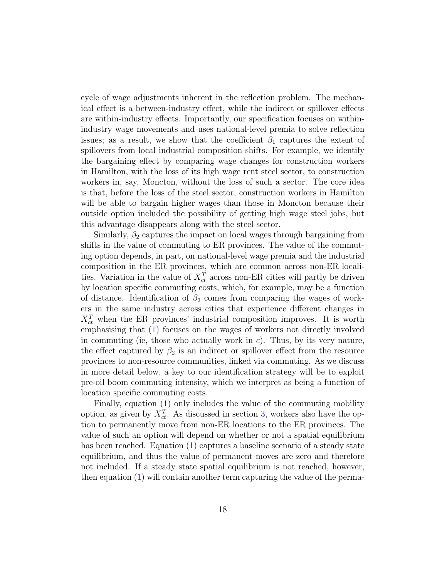cycle of wage adjustments inherent in the reflection problem. The mechanical effect is a between-industry effect, while the indirect or spillover effects are within-industry effects. Importantly, our specification focuses on withinindustry wage movements and uses national-level premia to solve reflection issues; as a result, we show that the coefficient  $\beta_1$  captures the extent of spillovers from local industrial composition shifts. For example, we identify the bargaining effect by comparing wage changes for construction workers in Hamilton, with the loss of its high wage rent steel sector, to construction workers in, say, Moncton, without the loss of such a sector. The core idea is that, before the loss of the steel sector, construction workers in Hamilton will be able to bargain higher wages than those in Moncton because their outside option included the possibility of getting high wage steel jobs, but this advantage disappears along with the steel sector.

Similarly,  $\beta_2$  captures the impact on local wages through bargaining from shifts in the value of commuting to ER provinces. The value of the commuting option depends, in part, on national-level wage premia and the industrial composition in the ER provinces, which are common across non-ER localities. Variation in the value of  $X_{ct}^T$  across non-ER cities will partly be driven by location specific commuting costs, which, for example, may be a function of distance. Identification of  $\beta_2$  comes from comparing the wages of workers in the same industry across cities that experience different changes in  $X_{ct}^T$  when the ER provinces' industrial composition improves. It is worth emphasising that [\(1\)](#page-15-2) focuses on the wages of workers not directly involved in commuting (ie, those who actually work in  $c$ ). Thus, by its very nature, the effect captured by  $\beta_2$  is an indirect or spillover effect from the resource provinces to non-resource communities, linked via commuting. As we discuss in more detail below, a key to our identification strategy will be to exploit pre-oil boom commuting intensity, which we interpret as being a function of location specific commuting costs.

Finally, equation [\(1\)](#page-15-2) only includes the value of the commuting mobility option, as given by  $X_{ct}^T$ . As discussed in section [3,](#page-9-0) workers also have the option to permanently move from non-ER locations to the ER provinces. The value of such an option will depend on whether or not a spatial equilibrium has been reached. Equation [\(1\)](#page-15-2) captures a baseline scenario of a steady state equilibrium, and thus the value of permanent moves are zero and therefore not included. If a steady state spatial equilibrium is not reached, however, then equation [\(1\)](#page-15-2) will contain another term capturing the value of the perma-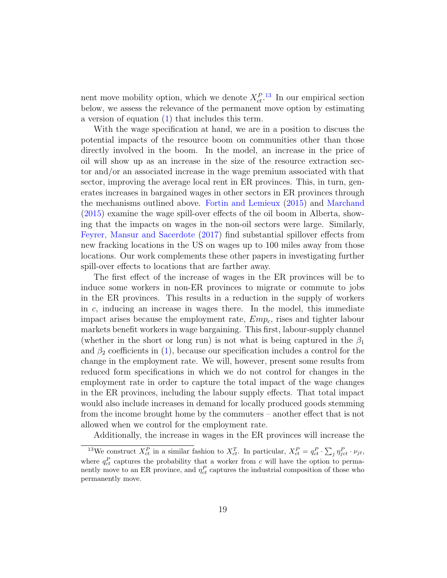nent move mobility option, which we denote  $X_{ct}^{P}$ .<sup>[13](#page-18-0)</sup> In our empirical section below, we assess the relevance of the permanent move option by estimating a version of equation [\(1\)](#page-15-2) that includes this term.

With the wage specification at hand, we are in a position to discuss the potential impacts of the resource boom on communities other than those directly involved in the boom. In the model, an increase in the price of oil will show up as an increase in the size of the resource extraction sector and/or an associated increase in the wage premium associated with that sector, improving the average local rent in ER provinces. This, in turn, generates increases in bargained wages in other sectors in ER provinces through the mechanisms outlined above. [Fortin and Lemieux](#page-45-3) [\(2015\)](#page-45-3) and [Marchand](#page-45-4) [\(2015\)](#page-45-4) examine the wage spill-over effects of the oil boom in Alberta, showing that the impacts on wages in the non-oil sectors were large. Similarly, [Feyrer, Mansur and Sacerdote](#page-44-2) [\(2017\)](#page-44-2) find substantial spillover effects from new fracking locations in the US on wages up to 100 miles away from those locations. Our work complements these other papers in investigating further spill-over effects to locations that are farther away.

The first effect of the increase of wages in the ER provinces will be to induce some workers in non-ER provinces to migrate or commute to jobs in the ER provinces. This results in a reduction in the supply of workers in  $c$ , inducing an increase in wages there. In the model, this immediate impact arises because the employment rate,  $Emp<sub>c</sub>$ , rises and tighter labour markets benefit workers in wage bargaining. This first, labour-supply channel (whether in the short or long run) is not what is being captured in the  $\beta_1$ and  $\beta_2$  coefficients in [\(1\)](#page-15-2), because our specification includes a control for the change in the employment rate. We will, however, present some results from reduced form specifications in which we do not control for changes in the employment rate in order to capture the total impact of the wage changes in the ER provinces, including the labour supply effects. That total impact would also include increases in demand for locally produced goods stemming from the income brought home by the commuters – another effect that is not allowed when we control for the employment rate.

<span id="page-18-0"></span>Additionally, the increase in wages in the ER provinces will increase the

<sup>&</sup>lt;sup>13</sup>We construct  $X_{ct}^P$  in a similar fashion to  $X_{ct}^T$ . In particular,  $X_{ct}^P = q_{ct}^P \cdot \sum_j \eta_{jct}^P \cdot \nu_{jt}$ , where  $q_{ct}^P$  captures the probability that a worker from c will have the option to permanently move to an ER province, and  $\eta_{ct}^P$  captures the industrial composition of those who permanently move.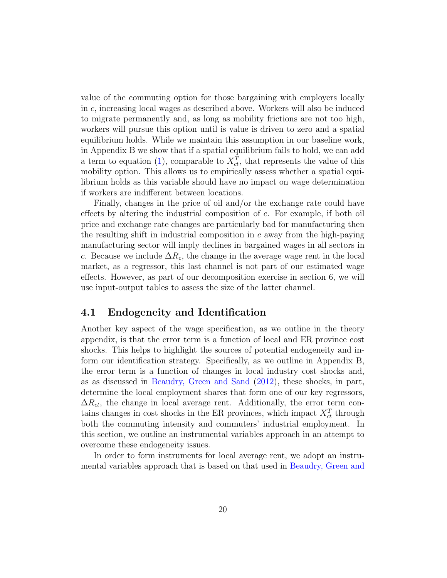value of the commuting option for those bargaining with employers locally in c, increasing local wages as described above. Workers will also be induced to migrate permanently and, as long as mobility frictions are not too high, workers will pursue this option until is value is driven to zero and a spatial equilibrium holds. While we maintain this assumption in our baseline work, in Appendix B we show that if a spatial equilibrium fails to hold, we can add a term to equation [\(1\)](#page-15-2), comparable to  $X_{ct}^T$ , that represents the value of this mobility option. This allows us to empirically assess whether a spatial equilibrium holds as this variable should have no impact on wage determination if workers are indifferent between locations.

Finally, changes in the price of oil and/or the exchange rate could have effects by altering the industrial composition of c. For example, if both oil price and exchange rate changes are particularly bad for manufacturing then the resulting shift in industrial composition in  $c$  away from the high-paying manufacturing sector will imply declines in bargained wages in all sectors in c. Because we include  $\Delta R_c$ , the change in the average wage rent in the local market, as a regressor, this last channel is not part of our estimated wage effects. However, as part of our decomposition exercise in section 6, we will use input-output tables to assess the size of the latter channel.

#### 4.1 Endogeneity and Identification

Another key aspect of the wage specification, as we outline in the theory appendix, is that the error term is a function of local and ER province cost shocks. This helps to highlight the sources of potential endogeneity and inform our identification strategy. Specifically, as we outline in Appendix B, the error term is a function of changes in local industry cost shocks and, as as discussed in [Beaudry, Green and Sand](#page-44-4) [\(2012\)](#page-44-4), these shocks, in part, determine the local employment shares that form one of our key regressors,  $\Delta R_{ct}$ , the change in local average rent. Additionally, the error term contains changes in cost shocks in the ER provinces, which impact  $X_{ct}^T$  through both the commuting intensity and commuters' industrial employment. In this section, we outline an instrumental variables approach in an attempt to overcome these endogeneity issues.

In order to form instruments for local average rent, we adopt an instrumental variables approach that is based on that used in [Beaudry, Green and](#page-44-4)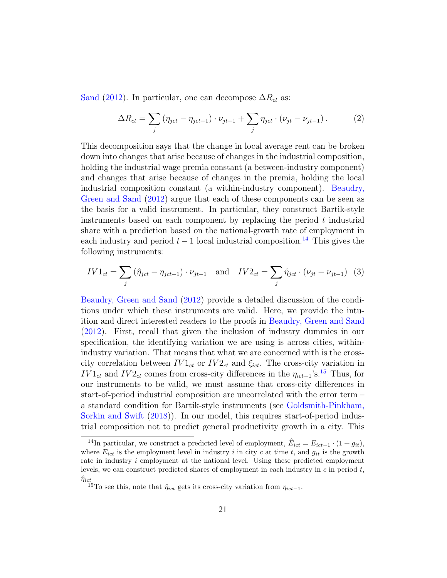[Sand](#page-44-4) [\(2012\)](#page-44-4). In particular, one can decompose  $\Delta R_{ct}$  as:

$$
\Delta R_{ct} = \sum_{j} (\eta_{jct} - \eta_{jct-1}) \cdot \nu_{jt-1} + \sum_{j} \eta_{jct} \cdot (\nu_{jt} - \nu_{jt-1}). \tag{2}
$$

This decomposition says that the change in local average rent can be broken down into changes that arise because of changes in the industrial composition, holding the industrial wage premia constant (a between-industry component) and changes that arise because of changes in the premia, holding the local industrial composition constant (a within-industry component). [Beaudry,](#page-44-4) [Green and Sand](#page-44-4) [\(2012\)](#page-44-4) argue that each of these components can be seen as the basis for a valid instrument. In particular, they construct Bartik-style instruments based on each component by replacing the period  $t$  industrial share with a prediction based on the national-growth rate of employment in each industry and period  $t - 1$  local industrial composition.<sup>[14](#page-20-0)</sup> This gives the following instruments:

$$
IV1_{ct} = \sum_{j} (\hat{\eta}_{jet} - \eta_{jet-1}) \cdot \nu_{jt-1} \text{ and } IV2_{ct} = \sum_{j} \hat{\eta}_{jet} \cdot (\nu_{jt} - \nu_{jt-1}) \tag{3}
$$

[Beaudry, Green and Sand](#page-44-4) [\(2012\)](#page-44-4) provide a detailed discussion of the conditions under which these instruments are valid. Here, we provide the intuition and direct interested readers to the proofs in [Beaudry, Green and Sand](#page-44-4) [\(2012\)](#page-44-4). First, recall that given the inclusion of industry dummies in our specification, the identifying variation we are using is across cities, withinindustry variation. That means that what we are concerned with is the crosscity correlation between  $IV1_{ct}$  or  $IV2_{ct}$  and  $\xi_{ict}$ . The cross-city variation in  $IV1_{ct}$  and  $IV2_{ct}$  comes from cross-city differences in the  $\eta_{ict-1}$ 's.<sup>[15](#page-20-1)</sup> Thus, for our instruments to be valid, we must assume that cross-city differences in start-of-period industrial composition are uncorrelated with the error term – a standard condition for Bartik-style instruments (see [Goldsmith-Pinkham,](#page-45-10) [Sorkin and Swift](#page-45-10) [\(2018\)](#page-45-10)). In our model, this requires start-of-period industrial composition not to predict general productivity growth in a city. This

<span id="page-20-0"></span><sup>&</sup>lt;sup>14</sup>In particular, we construct a predicted level of employment,  $\hat{E}_{ict} = E_{ict-1} \cdot (1 + g_{it}),$ where  $E_{ict}$  is the employment level in industry i in city c at time t, and  $g_{it}$  is the growth rate in industry i employment at the national level. Using these predicted employment levels, we can construct predicted shares of employment in each industry in  $c$  in period  $t$ ,  $\hat{\eta}_{ict}$ 

<span id="page-20-1"></span> $^{15}{\rm To}$  see this, note that  $\hat{\eta}_{ict}$  gets its cross-city variation from  $\eta_{ict-1}.$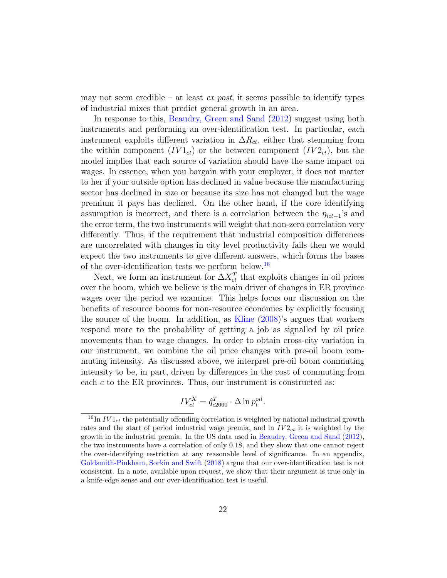may not seem credible – at least *ex post*, it seems possible to identify types of industrial mixes that predict general growth in an area.

In response to this, [Beaudry, Green and Sand](#page-44-4) [\(2012\)](#page-44-4) suggest using both instruments and performing an over-identification test. In particular, each instrument exploits different variation in  $\Delta R_{ct}$ , either that stemming from the within component  $(IV1_{ct})$  or the between component  $(IV2_{ct})$ , but the model implies that each source of variation should have the same impact on wages. In essence, when you bargain with your employer, it does not matter to her if your outside option has declined in value because the manufacturing sector has declined in size or because its size has not changed but the wage premium it pays has declined. On the other hand, if the core identifying assumption is incorrect, and there is a correlation between the  $\eta_{ict-1}$ 's and the error term, the two instruments will weight that non-zero correlation very differently. Thus, if the requirement that industrial composition differences are uncorrelated with changes in city level productivity fails then we would expect the two instruments to give different answers, which forms the bases of the over-identification tests we perform below.[16](#page-21-0)

Next, we form an instrument for  $\Delta X_{ct}^T$  that exploits changes in oil prices over the boom, which we believe is the main driver of changes in ER province wages over the period we examine. This helps focus our discussion on the benefits of resource booms for non-resource economies by explicitly focusing the source of the boom. In addition, as [Kline](#page-45-6) [\(2008\)](#page-45-6)'s argues that workers respond more to the probability of getting a job as signalled by oil price movements than to wage changes. In order to obtain cross-city variation in our instrument, we combine the oil price changes with pre-oil boom commuting intensity. As discussed above, we interpret pre-oil boom commuting intensity to be, in part, driven by differences in the cost of commuting from each  $c$  to the ER provinces. Thus, our instrument is constructed as:

$$
IV_{ct}^X = \hat{q}_{c2000}^T \cdot \Delta \ln p_t^{oil}.
$$

<span id="page-21-0"></span> $^{16}$ In  $IV1_{ct}$  the potentially offending correlation is weighted by national industrial growth rates and the start of period industrial wage premia, and in  $IV2_{ct}$  it is weighted by the growth in the industrial premia. In the US data used in [Beaudry, Green and Sand](#page-44-4) [\(2012\)](#page-44-4), the two instruments have a correlation of only 0.18, and they show that one cannot reject the over-identifying restriction at any reasonable level of significance. In an appendix, [Goldsmith-Pinkham, Sorkin and Swift](#page-45-10) [\(2018\)](#page-45-10) argue that our over-identification test is not consistent. In a note, available upon request, we show that their argument is true only in a knife-edge sense and our over-identification test is useful.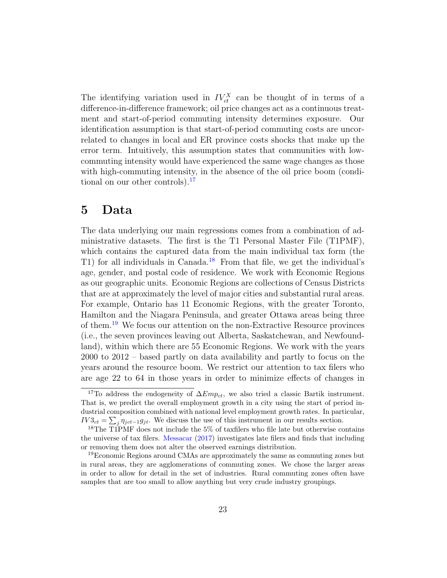The identifying variation used in  $IV_{ct}^X$  can be thought of in terms of a difference-in-difference framework; oil price changes act as a continuous treatment and start-of-period commuting intensity determines exposure. Our identification assumption is that start-of-period commuting costs are uncorrelated to changes in local and ER province costs shocks that make up the error term. Intuitively, this assumption states that communities with lowcommuting intensity would have experienced the same wage changes as those with high-commuting intensity, in the absence of the oil price boom (condi-tional on our other controls).<sup>[17](#page-22-1)</sup>

### <span id="page-22-0"></span>5 Data

The data underlying our main regressions comes from a combination of administrative datasets. The first is the T1 Personal Master File (T1PMF), which contains the captured data from the main individual tax form (the T1) for all individuals in Canada.[18](#page-22-2) From that file, we get the individual's age, gender, and postal code of residence. We work with Economic Regions as our geographic units. Economic Regions are collections of Census Districts that are at approximately the level of major cities and substantial rural areas. For example, Ontario has 11 Economic Regions, with the greater Toronto, Hamilton and the Niagara Peninsula, and greater Ottawa areas being three of them.[19](#page-22-3) We focus our attention on the non-Extractive Resource provinces (i.e., the seven provinces leaving out Alberta, Saskatchewan, and Newfoundland), within which there are 55 Economic Regions. We work with the years 2000 to 2012 – based partly on data availability and partly to focus on the years around the resource boom. We restrict our attention to tax filers who are age 22 to 64 in those years in order to minimize effects of changes in

<span id="page-22-1"></span><sup>&</sup>lt;sup>17</sup>To address the endogeneity of  $\Delta Emp_{ct}$ , we also tried a classic Bartik instrument. That is, we predict the overall employment growth in a city using the start of period industrial composition combined with national level employment growth rates. In particular,  $IV3_{ct} = \sum_{j} \eta_{jct-1} g_{jt}$ . We discuss the use of this instrument in our results section.

<span id="page-22-2"></span><sup>&</sup>lt;sup>18</sup>The T1PMF does not include the 5% of taxfilers who file late but otherwise contains the universe of tax filers. [Messacar](#page-45-11) [\(2017\)](#page-45-11) investigates late filers and finds that including or removing them does not alter the observed earnings distribution.

<span id="page-22-3"></span><sup>&</sup>lt;sup>19</sup>Economic Regions around CMAs are approximately the same as commuting zones but in rural areas, they are agglomerations of commuting zones. We chose the larger areas in order to allow for detail in the set of industries. Rural commuting zones often have samples that are too small to allow anything but very crude industry groupings.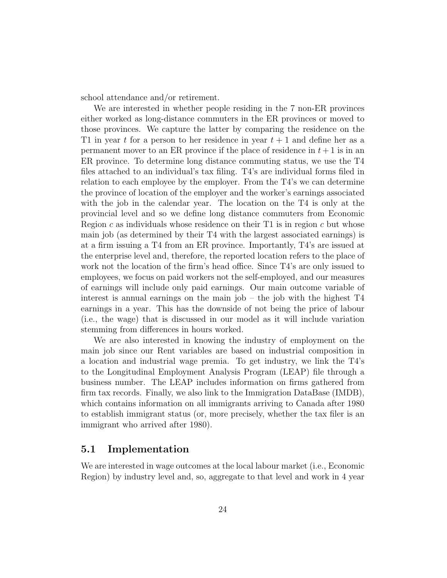school attendance and/or retirement.

We are interested in whether people residing in the 7 non-ER provinces either worked as long-distance commuters in the ER provinces or moved to those provinces. We capture the latter by comparing the residence on the T1 in year t for a person to her residence in year  $t + 1$  and define her as a permanent mover to an ER province if the place of residence in  $t + 1$  is in an ER province. To determine long distance commuting status, we use the T4 files attached to an individual's tax filing. T4's are individual forms filed in relation to each employee by the employer. From the T4's we can determine the province of location of the employer and the worker's earnings associated with the job in the calendar year. The location on the T4 is only at the provincial level and so we define long distance commuters from Economic Region  $c$  as individuals whose residence on their T1 is in region  $c$  but whose main job (as determined by their T4 with the largest associated earnings) is at a firm issuing a T4 from an ER province. Importantly, T4's are issued at the enterprise level and, therefore, the reported location refers to the place of work not the location of the firm's head office. Since T4's are only issued to employees, we focus on paid workers not the self-employed, and our measures of earnings will include only paid earnings. Our main outcome variable of interest is annual earnings on the main job – the job with the highest T4 earnings in a year. This has the downside of not being the price of labour (i.e., the wage) that is discussed in our model as it will include variation stemming from differences in hours worked.

We are also interested in knowing the industry of employment on the main job since our Rent variables are based on industrial composition in a location and industrial wage premia. To get industry, we link the T4's to the Longitudinal Employment Analysis Program (LEAP) file through a business number. The LEAP includes information on firms gathered from firm tax records. Finally, we also link to the Immigration DataBase (IMDB), which contains information on all immigrants arriving to Canada after 1980 to establish immigrant status (or, more precisely, whether the tax filer is an immigrant who arrived after 1980).

#### 5.1 Implementation

We are interested in wage outcomes at the local labour market (i.e., Economic Region) by industry level and, so, aggregate to that level and work in 4 year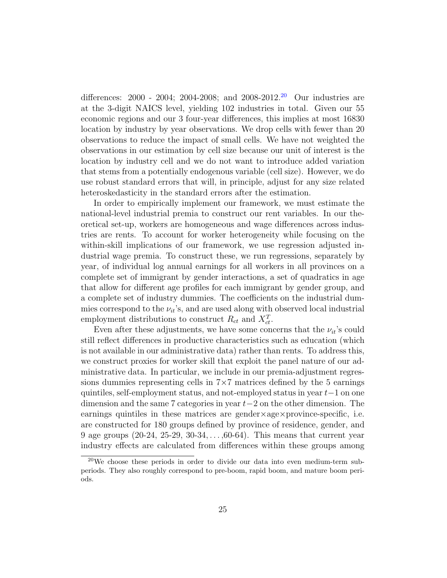differences: 2000 - 2004; 2004-2008; and 2008-2012.[20](#page-24-0) Our industries are at the 3-digit NAICS level, yielding 102 industries in total. Given our 55 economic regions and our 3 four-year differences, this implies at most 16830 location by industry by year observations. We drop cells with fewer than 20 observations to reduce the impact of small cells. We have not weighted the observations in our estimation by cell size because our unit of interest is the location by industry cell and we do not want to introduce added variation that stems from a potentially endogenous variable (cell size). However, we do use robust standard errors that will, in principle, adjust for any size related heteroskedasticity in the standard errors after the estimation.

In order to empirically implement our framework, we must estimate the national-level industrial premia to construct our rent variables. In our theoretical set-up, workers are homogeneous and wage differences across industries are rents. To account for worker heterogeneity while focusing on the within-skill implications of our framework, we use regression adjusted industrial wage premia. To construct these, we run regressions, separately by year, of individual log annual earnings for all workers in all provinces on a complete set of immigrant by gender interactions, a set of quadratics in age that allow for different age profiles for each immigrant by gender group, and a complete set of industry dummies. The coefficients on the industrial dummies correspond to the  $\nu_{it}$ 's, and are used along with observed local industrial employment distributions to construct  $R_{ct}$  and  $X_{ct}^T$ .

Even after these adjustments, we have some concerns that the  $\nu_{it}$ 's could still reflect differences in productive characteristics such as education (which is not available in our administrative data) rather than rents. To address this, we construct proxies for worker skill that exploit the panel nature of our administrative data. In particular, we include in our premia-adjustment regressions dummies representing cells in  $7\times7$  matrices defined by the 5 earnings quintiles, self-employment status, and not-employed status in year t−1 on one dimension and the same 7 categories in year t−2 on the other dimension. The earnings quintiles in these matrices are gender×age×province-specific, i.e. are constructed for 180 groups defined by province of residence, gender, and 9 age groups (20-24, 25-29, 30-34, . . . ,60-64). This means that current year industry effects are calculated from differences within these groups among

<span id="page-24-0"></span> $20$ We choose these periods in order to divide our data into even medium-term subperiods. They also roughly correspond to pre-boom, rapid boom, and mature boom periods.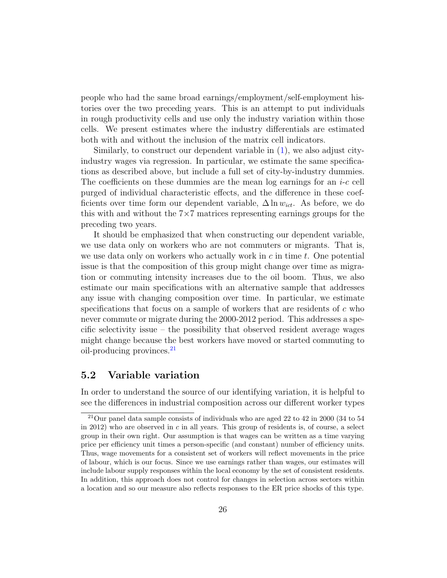people who had the same broad earnings/employment/self-employment histories over the two preceding years. This is an attempt to put individuals in rough productivity cells and use only the industry variation within those cells. We present estimates where the industry differentials are estimated both with and without the inclusion of the matrix cell indicators.

Similarly, to construct our dependent variable in [\(1\)](#page-15-2), we also adjust cityindustry wages via regression. In particular, we estimate the same specifications as described above, but include a full set of city-by-industry dummies. The coefficients on these dummies are the mean log earnings for an  $i-c$  cell purged of individual characteristic effects, and the difference in these coefficients over time form our dependent variable,  $\Delta \ln w_{ict}$ . As before, we do this with and without the 7×7 matrices representing earnings groups for the preceding two years.

It should be emphasized that when constructing our dependent variable, we use data only on workers who are not commuters or migrants. That is, we use data only on workers who actually work in  $c$  in time  $t$ . One potential issue is that the composition of this group might change over time as migration or commuting intensity increases due to the oil boom. Thus, we also estimate our main specifications with an alternative sample that addresses any issue with changing composition over time. In particular, we estimate specifications that focus on a sample of workers that are residents of  $c$  who never commute or migrate during the 2000-2012 period. This addresses a specific selectivity issue – the possibility that observed resident average wages might change because the best workers have moved or started commuting to oil-producing provinces.[21](#page-25-0)

### 5.2 Variable variation

In order to understand the source of our identifying variation, it is helpful to see the differences in industrial composition across our different worker types

<span id="page-25-0"></span> $21$ Our panel data sample consists of individuals who are aged 22 to 42 in 2000 (34 to 54) in 2012) who are observed in  $c$  in all years. This group of residents is, of course, a select group in their own right. Our assumption is that wages can be written as a time varying price per efficiency unit times a person-specific (and constant) number of efficiency units. Thus, wage movements for a consistent set of workers will reflect movements in the price of labour, which is our focus. Since we use earnings rather than wages, our estimates will include labour supply responses within the local economy by the set of consistent residents. In addition, this approach does not control for changes in selection across sectors within a location and so our measure also reflects responses to the ER price shocks of this type.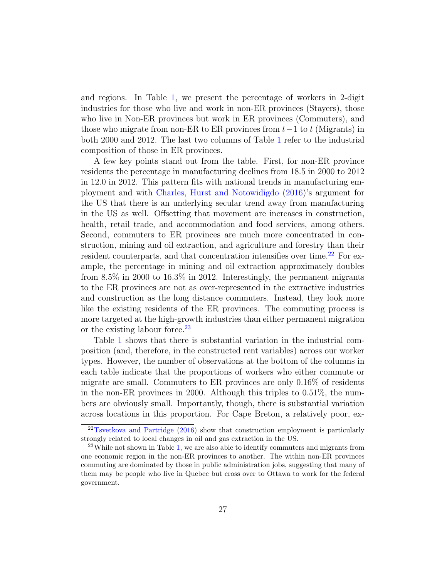and regions. In Table [1,](#page-47-0) we present the percentage of workers in 2-digit industries for those who live and work in non-ER provinces (Stayers), those who live in Non-ER provinces but work in ER provinces (Commuters), and those who migrate from non-ER to ER provinces from  $t-1$  to t (Migrants) in both 2000 and 2012. The last two columns of Table [1](#page-47-0) refer to the industrial composition of those in ER provinces.

A few key points stand out from the table. First, for non-ER province residents the percentage in manufacturing declines from 18.5 in 2000 to 2012 in 12.0 in 2012. This pattern fits with national trends in manufacturing employment and with [Charles, Hurst and Notowidigdo](#page-44-6) [\(2016\)](#page-44-6)'s argument for the US that there is an underlying secular trend away from manufacturing in the US as well. Offsetting that movement are increases in construction, health, retail trade, and accommodation and food services, among others. Second, commuters to ER provinces are much more concentrated in construction, mining and oil extraction, and agriculture and forestry than their resident counterparts, and that concentration intensifies over time.<sup>[22](#page-26-0)</sup> For example, the percentage in mining and oil extraction approximately doubles from 8.5% in 2000 to 16.3% in 2012. Interestingly, the permanent migrants to the ER provinces are not as over-represented in the extractive industries and construction as the long distance commuters. Instead, they look more like the existing residents of the ER provinces. The commuting process is more targeted at the high-growth industries than either permanent migration or the existing labour force.<sup>[23](#page-26-1)</sup>

Table [1](#page-47-0) shows that there is substantial variation in the industrial composition (and, therefore, in the constructed rent variables) across our worker types. However, the number of observations at the bottom of the columns in each table indicate that the proportions of workers who either commute or migrate are small. Commuters to ER provinces are only 0.16% of residents in the non-ER provinces in 2000. Although this triples to 0.51%, the numbers are obviously small. Importantly, though, there is substantial variation across locations in this proportion. For Cape Breton, a relatively poor, ex-

<span id="page-26-0"></span><sup>22</sup>[Tsvetkova and Partridge](#page-46-6) [\(2016\)](#page-46-6) show that construction employment is particularly strongly related to local changes in oil and gas extraction in the US.

<span id="page-26-1"></span> $^{23}$ While not shown in Table [1,](#page-47-0) we are also able to identify commuters and migrants from one economic region in the non-ER provinces to another. The within non-ER provinces commuting are dominated by those in public administration jobs, suggesting that many of them may be people who live in Quebec but cross over to Ottawa to work for the federal government.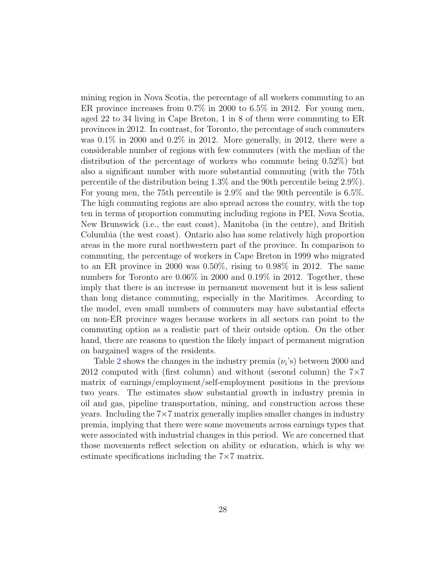mining region in Nova Scotia, the percentage of all workers commuting to an ER province increases from 0.7% in 2000 to 6.5% in 2012. For young men, aged 22 to 34 living in Cape Breton, 1 in 8 of them were commuting to ER provinces in 2012. In contrast, for Toronto, the percentage of such commuters was 0.1% in 2000 and 0.2% in 2012. More generally, in 2012, there were a considerable number of regions with few commuters (with the median of the distribution of the percentage of workers who commute being 0.52%) but also a significant number with more substantial commuting (with the 75th percentile of the distribution being 1.3% and the 90th percentile being 2.9%). For young men, the 75th percentile is 2.9% and the 90th percentile is 6.5%. The high commuting regions are also spread across the country, with the top ten in terms of proportion commuting including regions in PEI, Nova Scotia, New Brunswick (i.e., the east coast), Manitoba (in the centre), and British Columbia (the west coast). Ontario also has some relatively high proportion areas in the more rural northwestern part of the province. In comparison to commuting, the percentage of workers in Cape Breton in 1999 who migrated to an ER province in 2000 was 0.50%, rising to 0.98% in 2012. The same numbers for Toronto are 0.06% in 2000 and 0.19% in 2012. Together, these imply that there is an increase in permanent movement but it is less salient than long distance commuting, especially in the Maritimes. According to the model, even small numbers of commuters may have substantial effects on non-ER province wages because workers in all sectors can point to the commuting option as a realistic part of their outside option. On the other hand, there are reasons to question the likely impact of permanent migration on bargained wages of the residents.

Table [2](#page-48-0) shows the changes in the industry premia  $(\nu_i)$  between 2000 and 2012 computed with (first column) and without (second column) the  $7\times7$ matrix of earnings/employment/self-employment positions in the previous two years. The estimates show substantial growth in industry premia in oil and gas, pipeline transportation, mining, and construction across these years. Including the 7×7 matrix generally implies smaller changes in industry premia, implying that there were some movements across earnings types that were associated with industrial changes in this period. We are concerned that those movements reflect selection on ability or education, which is why we estimate specifications including the 7×7 matrix.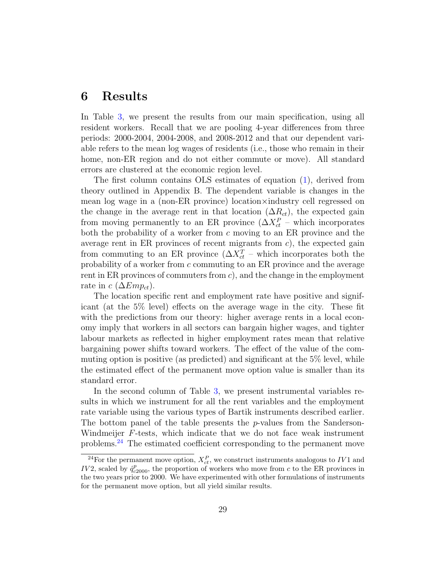### <span id="page-28-0"></span>6 Results

In Table [3,](#page-49-0) we present the results from our main specification, using all resident workers. Recall that we are pooling 4-year differences from three periods: 2000-2004, 2004-2008, and 2008-2012 and that our dependent variable refers to the mean log wages of residents (i.e., those who remain in their home, non-ER region and do not either commute or move). All standard errors are clustered at the economic region level.

The first column contains OLS estimates of equation [\(1\)](#page-15-2), derived from theory outlined in Appendix B. The dependent variable is changes in the mean log wage in a (non-ER province) location×industry cell regressed on the change in the average rent in that location  $(\Delta R_{ct})$ , the expected gain from moving permanently to an ER province  $(\Delta X_{ct}^P$  – which incorporates both the probability of a worker from c moving to an ER province and the average rent in ER provinces of recent migrants from  $c$ ), the expected gain from commuting to an ER province  $(\Delta X_{ct}^T$  – which incorporates both the probability of a worker from c commuting to an ER province and the average rent in ER provinces of commuters from  $c$ ), and the change in the employment rate in c ( $\Delta Emp_{ct}$ ).

The location specific rent and employment rate have positive and significant (at the 5% level) effects on the average wage in the city. These fit with the predictions from our theory: higher average rents in a local economy imply that workers in all sectors can bargain higher wages, and tighter labour markets as reflected in higher employment rates mean that relative bargaining power shifts toward workers. The effect of the value of the commuting option is positive (as predicted) and significant at the 5% level, while the estimated effect of the permanent move option value is smaller than its standard error.

In the second column of Table [3,](#page-49-0) we present instrumental variables results in which we instrument for all the rent variables and the employment rate variable using the various types of Bartik instruments described earlier. The bottom panel of the table presents the  $p$ -values from the Sanderson-Windmeijer F-tests, which indicate that we do not face weak instrument problems.[24](#page-28-1) The estimated coefficient corresponding to the permanent move

<span id="page-28-1"></span><sup>&</sup>lt;sup>24</sup>For the permanent move option,  $X_{ct}^P$ , we construct instruments analogous to IV1 and IV2, scaled by  $\hat{q}_{c2000}^p$ , the proportion of workers who move from c to the ER provinces in the two years prior to 2000. We have experimented with other formulations of instruments for the permanent move option, but all yield similar results.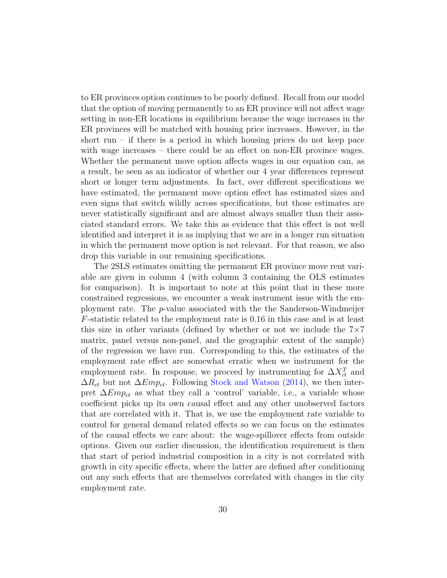to ER provinces option continues to be poorly defined. Recall from our model that the option of moving permanently to an ER province will not affect wage setting in non-ER locations in equilibrium because the wage increases in the ER provinces will be matched with housing price increases. However, in the short run – if there is a period in which housing prices do not keep pace with wage increases – there could be an effect on non-ER province wages. Whether the permanent move option affects wages in our equation can, as a result, be seen as an indicator of whether our 4 year differences represent short or longer term adjustments. In fact, over different specifications we have estimated, the permanent move option effect has estimated sizes and even signs that switch wildly across specifications, but those estimates are never statistically significant and are almost always smaller than their associated standard errors. We take this as evidence that this effect is not well identified and interpret it is as implying that we are in a longer run situation in which the permanent move option is not relevant. For that reason, we also drop this variable in our remaining specifications.

The 2SLS estimates omitting the permanent ER province move rent variable are given in column 4 (with column 3 containing the OLS estimates for comparison). It is important to note at this point that in these more constrained regressions, we encounter a weak instrument issue with the employment rate. The p-value associated with the the Sanderson-Windmeijer F-statistic related to the employment rate is 0.16 in this case and is at least this size in other variants (defined by whether or not we include the  $7\times7$ matrix, panel versus non-panel, and the geographic extent of the sample) of the regression we have run. Corresponding to this, the estimates of the employment rate effect are somewhat erratic when we instrument for the employment rate. In response, we proceed by instrumenting for  $\Delta X_{ct}^T$  and  $\Delta R_{ct}$  but not  $\Delta Emp_{ct}$ . Following [Stock and Watson](#page-46-7) [\(2014\)](#page-46-7), we then interpret  $\Delta Emp_{ct}$  as what they call a 'control' variable, i.e., a variable whose coefficient picks up its own causal effect and any other unobserved factors that are correlated with it. That is, we use the employment rate variable to control for general demand related effects so we can focus on the estimates of the causal effects we care about: the wage-spillover effects from outside options. Given our earlier discussion, the identification requirement is then that start of period industrial composition in a city is not correlated with growth in city specific effects, where the latter are defined after conditioning out any such effects that are themselves correlated with changes in the city employment rate.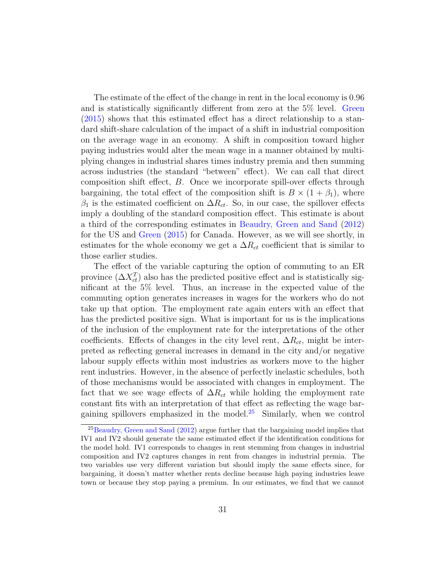The estimate of the effect of the change in rent in the local economy is 0.96 and is statistically significantly different from zero at the 5% level. [Green](#page-45-7) [\(2015\)](#page-45-7) shows that this estimated effect has a direct relationship to a standard shift-share calculation of the impact of a shift in industrial composition on the average wage in an economy. A shift in composition toward higher paying industries would alter the mean wage in a manner obtained by multiplying changes in industrial shares times industry premia and then summing across industries (the standard "between" effect). We can call that direct composition shift effect, B. Once we incorporate spill-over effects through bargaining, the total effect of the composition shift is  $B \times (1 + \beta_1)$ , where  $\beta_1$  is the estimated coefficient on  $\Delta R_{ct}$ . So, in our case, the spillover effects imply a doubling of the standard composition effect. This estimate is about a third of the corresponding estimates in [Beaudry, Green and Sand](#page-44-4) [\(2012\)](#page-44-4) for the US and [Green](#page-45-7) [\(2015\)](#page-45-7) for Canada. However, as we will see shortly, in estimates for the whole economy we get a  $\Delta R_{ct}$  coefficient that is similar to those earlier studies.

The effect of the variable capturing the option of commuting to an ER province  $(\Delta X_{ct}^T)$  also has the predicted positive effect and is statistically significant at the 5% level. Thus, an increase in the expected value of the commuting option generates increases in wages for the workers who do not take up that option. The employment rate again enters with an effect that has the predicted positive sign. What is important for us is the implications of the inclusion of the employment rate for the interpretations of the other coefficients. Effects of changes in the city level rent,  $\Delta R_{ct}$ , might be interpreted as reflecting general increases in demand in the city and/or negative labour supply effects within most industries as workers move to the higher rent industries. However, in the absence of perfectly inelastic schedules, both of those mechanisms would be associated with changes in employment. The fact that we see wage effects of  $\Delta R_{ct}$  while holding the employment rate constant fits with an interpretation of that effect as reflecting the wage bar-gaining spillovers emphasized in the model.<sup>[25](#page-30-0)</sup> Similarly, when we control

<span id="page-30-0"></span><sup>&</sup>lt;sup>25</sup>[Beaudry, Green and Sand](#page-44-4) [\(2012\)](#page-44-4) argue further that the bargaining model implies that IV1 and IV2 should generate the same estimated effect if the identification conditions for the model hold. IV1 corresponds to changes in rent stemming from changes in industrial composition and IV2 captures changes in rent from changes in industrial premia. The two variables use very different variation but should imply the same effects since, for bargaining, it doesn't matter whether rents decline because high paying industries leave town or because they stop paying a premium. In our estimates, we find that we cannot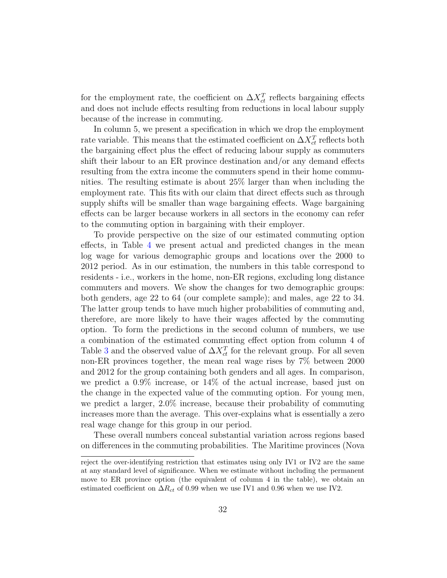for the employment rate, the coefficient on  $\Delta X_{ct}^T$  reflects bargaining effects and does not include effects resulting from reductions in local labour supply because of the increase in commuting.

In column 5, we present a specification in which we drop the employment rate variable. This means that the estimated coefficient on  $\Delta X_{ct}^T$  reflects both the bargaining effect plus the effect of reducing labour supply as commuters shift their labour to an ER province destination and/or any demand effects resulting from the extra income the commuters spend in their home communities. The resulting estimate is about 25% larger than when including the employment rate. This fits with our claim that direct effects such as through supply shifts will be smaller than wage bargaining effects. Wage bargaining effects can be larger because workers in all sectors in the economy can refer to the commuting option in bargaining with their employer.

To provide perspective on the size of our estimated commuting option effects, in Table [4](#page-50-0) we present actual and predicted changes in the mean log wage for various demographic groups and locations over the 2000 to 2012 period. As in our estimation, the numbers in this table correspond to residents - i.e., workers in the home, non-ER regions, excluding long distance commuters and movers. We show the changes for two demographic groups: both genders, age 22 to 64 (our complete sample); and males, age 22 to 34. The latter group tends to have much higher probabilities of commuting and, therefore, are more likely to have their wages affected by the commuting option. To form the predictions in the second column of numbers, we use a combination of the estimated commuting effect option from column 4 of Table [3](#page-49-0) and the observed value of  $\Delta X_{ct}^T$  for the relevant group. For all seven non-ER provinces together, the mean real wage rises by 7% between 2000 and 2012 for the group containing both genders and all ages. In comparison, we predict a 0.9% increase, or 14% of the actual increase, based just on the change in the expected value of the commuting option. For young men, we predict a larger, 2.0% increase, because their probability of commuting increases more than the average. This over-explains what is essentially a zero real wage change for this group in our period.

These overall numbers conceal substantial variation across regions based on differences in the commuting probabilities. The Maritime provinces (Nova

reject the over-identifying restriction that estimates using only IV1 or IV2 are the same at any standard level of significance. When we estimate without including the permanent move to ER province option (the equivalent of column 4 in the table), we obtain an estimated coefficient on  $\Delta R_{ct}$  of 0.99 when we use IV1 and 0.96 when we use IV2.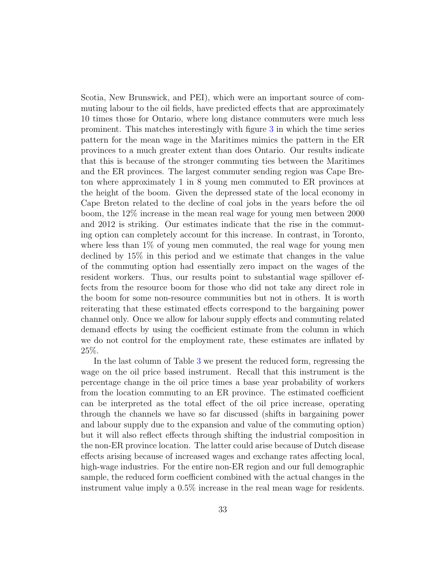Scotia, New Brunswick, and PEI), which were an important source of commuting labour to the oil fields, have predicted effects that are approximately 10 times those for Ontario, where long distance commuters were much less prominent. This matches interestingly with figure [3](#page-10-0) in which the time series pattern for the mean wage in the Maritimes mimics the pattern in the ER provinces to a much greater extent than does Ontario. Our results indicate that this is because of the stronger commuting ties between the Maritimes and the ER provinces. The largest commuter sending region was Cape Breton where approximately 1 in 8 young men commuted to ER provinces at the height of the boom. Given the depressed state of the local economy in Cape Breton related to the decline of coal jobs in the years before the oil boom, the 12% increase in the mean real wage for young men between 2000 and 2012 is striking. Our estimates indicate that the rise in the commuting option can completely account for this increase. In contrast, in Toronto, where less than  $1\%$  of young men commuted, the real wage for young men declined by 15% in this period and we estimate that changes in the value of the commuting option had essentially zero impact on the wages of the resident workers. Thus, our results point to substantial wage spillover effects from the resource boom for those who did not take any direct role in the boom for some non-resource communities but not in others. It is worth reiterating that these estimated effects correspond to the bargaining power channel only. Once we allow for labour supply effects and commuting related demand effects by using the coefficient estimate from the column in which we do not control for the employment rate, these estimates are inflated by 25%.

In the last column of Table [3](#page-49-0) we present the reduced form, regressing the wage on the oil price based instrument. Recall that this instrument is the percentage change in the oil price times a base year probability of workers from the location commuting to an ER province. The estimated coefficient can be interpreted as the total effect of the oil price increase, operating through the channels we have so far discussed (shifts in bargaining power and labour supply due to the expansion and value of the commuting option) but it will also reflect effects through shifting the industrial composition in the non-ER province location. The latter could arise because of Dutch disease effects arising because of increased wages and exchange rates affecting local, high-wage industries. For the entire non-ER region and our full demographic sample, the reduced form coefficient combined with the actual changes in the instrument value imply a 0.5% increase in the real mean wage for residents.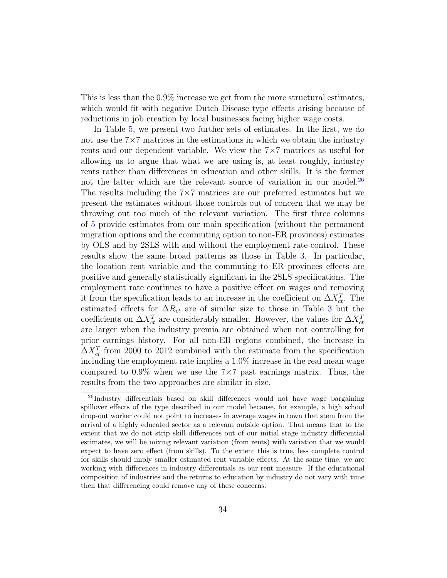This is less than the 0.9% increase we get from the more structural estimates, which would fit with negative Dutch Disease type effects arising because of reductions in job creation by local businesses facing higher wage costs.

In Table [5,](#page-51-0) we present two further sets of estimates. In the first, we do not use the  $7\times7$  matrices in the estimations in which we obtain the industry rents and our dependent variable. We view the  $7\times7$  matrices as useful for allowing us to argue that what we are using is, at least roughly, industry rents rather than differences in education and other skills. It is the former not the latter which are the relevant source of variation in our model.<sup>[26](#page-33-0)</sup> The results including the 7×7 matrices are our preferred estimates but we present the estimates without those controls out of concern that we may be throwing out too much of the relevant variation. The first three columns of [5](#page-51-0) provide estimates from our main specification (without the permanent migration options and the commuting option to non-ER provinces) estimates by OLS and by 2SLS with and without the employment rate control. These results show the same broad patterns as those in Table [3.](#page-49-0) In particular, the location rent variable and the commuting to ER provinces effects are positive and generally statistically significant in the 2SLS specifications. The employment rate continues to have a positive effect on wages and removing it from the specification leads to an increase in the coefficient on  $\Delta X_{ct}^T$ . The estimated effects for  $\Delta R_{ct}$  are of similar size to those in Table [3](#page-49-0) but the coefficients on  $\Delta X_{ct}^T$  are considerably smaller. However, the values for  $\Delta X_{ct}^T$ are larger when the industry premia are obtained when not controlling for prior earnings history. For all non-ER regions combined, the increase in  $\Delta X_{ct}^T$  from 2000 to 2012 combined with the estimate from the specification including the employment rate implies a 1.0% increase in the real mean wage compared to  $0.9\%$  when we use the 7 $\times$ 7 past earnings matrix. Thus, the results from the two approaches are similar in size.

<span id="page-33-0"></span><sup>&</sup>lt;sup>26</sup>Industry differentials based on skill differences would not have wage bargaining spillover effects of the type described in our model because, for example, a high school drop-out worker could not point to increases in average wages in town that stem from the arrival of a highly educated sector as a relevant outside option. That means that to the extent that we do not strip skill differences out of our initial stage industry differential estimates, we will be mixing relevant variation (from rents) with variation that we would expect to have zero effect (from skills). To the extent this is true, less complete control for skills should imply smaller estimated rent variable effects. At the same time, we are working with differences in industry differentials as our rent measure. If the educational composition of industries and the returns to education by industry do not vary with time then that differencing could remove any of these concerns.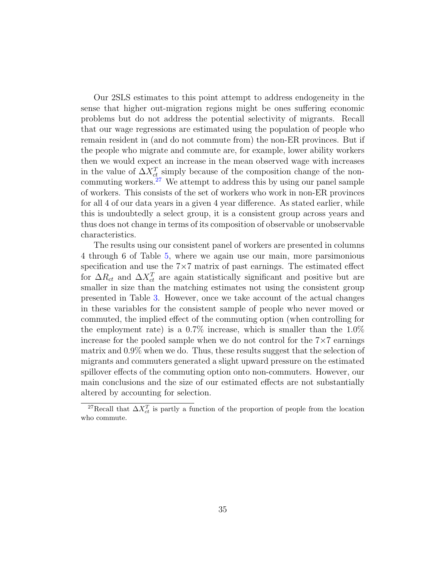Our 2SLS estimates to this point attempt to address endogeneity in the sense that higher out-migration regions might be ones suffering economic problems but do not address the potential selectivity of migrants. Recall that our wage regressions are estimated using the population of people who remain resident in (and do not commute from) the non-ER provinces. But if the people who migrate and commute are, for example, lower ability workers then we would expect an increase in the mean observed wage with increases in the value of  $\Delta X_{ct}^T$  simply because of the composition change of the noncommuting workers. $27$  We attempt to address this by using our panel sample of workers. This consists of the set of workers who work in non-ER provinces for all 4 of our data years in a given 4 year difference. As stated earlier, while this is undoubtedly a select group, it is a consistent group across years and thus does not change in terms of its composition of observable or unobservable characteristics.

The results using our consistent panel of workers are presented in columns 4 through 6 of Table [5,](#page-51-0) where we again use our main, more parsimonious specification and use the  $7\times7$  matrix of past earnings. The estimated effect for  $\Delta R_{ct}$  and  $\Delta X_{ct}^T$  are again statistically significant and positive but are smaller in size than the matching estimates not using the consistent group presented in Table [3.](#page-49-0) However, once we take account of the actual changes in these variables for the consistent sample of people who never moved or commuted, the implied effect of the commuting option (when controlling for the employment rate) is a  $0.7\%$  increase, which is smaller than the  $1.0\%$ increase for the pooled sample when we do not control for the  $7\times7$  earnings matrix and 0.9% when we do. Thus, these results suggest that the selection of migrants and commuters generated a slight upward pressure on the estimated spillover effects of the commuting option onto non-commuters. However, our main conclusions and the size of our estimated effects are not substantially altered by accounting for selection.

<span id="page-34-0"></span><sup>&</sup>lt;sup>27</sup>Recall that  $\Delta X_{ct}^T$  is partly a function of the proportion of people from the location who commute.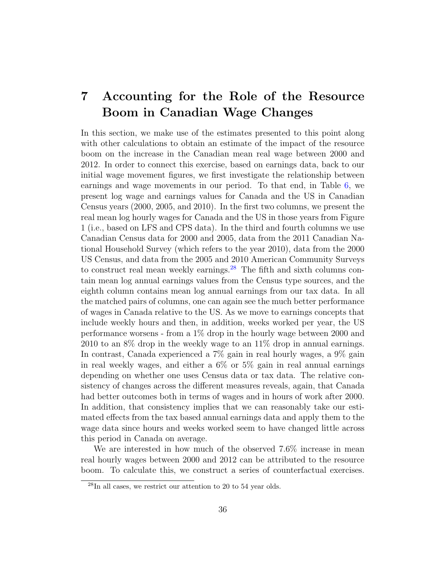## <span id="page-35-0"></span>7 Accounting for the Role of the Resource Boom in Canadian Wage Changes

In this section, we make use of the estimates presented to this point along with other calculations to obtain an estimate of the impact of the resource boom on the increase in the Canadian mean real wage between 2000 and 2012. In order to connect this exercise, based on earnings data, back to our initial wage movement figures, we first investigate the relationship between earnings and wage movements in our period. To that end, in Table [6,](#page-52-0) we present log wage and earnings values for Canada and the US in Canadian Census years (2000, 2005, and 2010). In the first two columns, we present the real mean log hourly wages for Canada and the US in those years from Figure 1 (i.e., based on LFS and CPS data). In the third and fourth columns we use Canadian Census data for 2000 and 2005, data from the 2011 Canadian National Household Survey (which refers to the year 2010), data from the 2000 US Census, and data from the 2005 and 2010 American Community Surveys to construct real mean weekly earnings.<sup>[28](#page-35-1)</sup> The fifth and sixth columns contain mean log annual earnings values from the Census type sources, and the eighth column contains mean log annual earnings from our tax data. In all the matched pairs of columns, one can again see the much better performance of wages in Canada relative to the US. As we move to earnings concepts that include weekly hours and then, in addition, weeks worked per year, the US performance worsens - from a 1% drop in the hourly wage between 2000 and 2010 to an 8% drop in the weekly wage to an 11% drop in annual earnings. In contrast, Canada experienced a 7% gain in real hourly wages, a 9% gain in real weekly wages, and either a 6% or 5% gain in real annual earnings depending on whether one uses Census data or tax data. The relative consistency of changes across the different measures reveals, again, that Canada had better outcomes both in terms of wages and in hours of work after 2000. In addition, that consistency implies that we can reasonably take our estimated effects from the tax based annual earnings data and apply them to the wage data since hours and weeks worked seem to have changed little across this period in Canada on average.

We are interested in how much of the observed 7.6% increase in mean real hourly wages between 2000 and 2012 can be attributed to the resource boom. To calculate this, we construct a series of counterfactual exercises.

<span id="page-35-1"></span> $^{28}{\rm In}$  all cases, we restrict our attention to 20 to 54 year olds.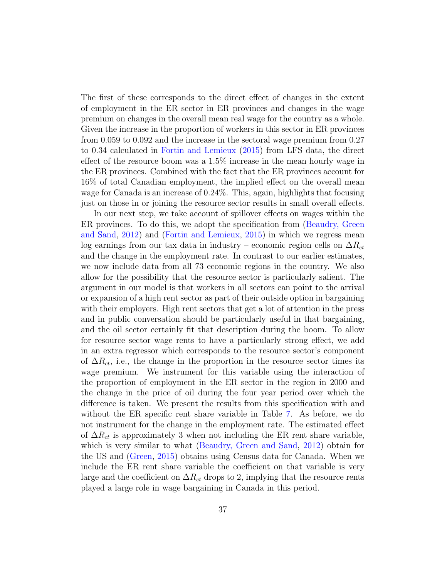The first of these corresponds to the direct effect of changes in the extent of employment in the ER sector in ER provinces and changes in the wage premium on changes in the overall mean real wage for the country as a whole. Given the increase in the proportion of workers in this sector in ER provinces from 0.059 to 0.092 and the increase in the sectoral wage premium from 0.27 to 0.34 calculated in [Fortin and Lemieux](#page-45-3) [\(2015\)](#page-45-3) from LFS data, the direct effect of the resource boom was a 1.5% increase in the mean hourly wage in the ER provinces. Combined with the fact that the ER provinces account for 16% of total Canadian employment, the implied effect on the overall mean wage for Canada is an increase of 0.24%. This, again, highlights that focusing just on those in or joining the resource sector results in small overall effects.

In our next step, we take account of spillover effects on wages within the ER provinces. To do this, we adopt the specification from [\(Beaudry, Green](#page-44-4) [and Sand,](#page-44-4) [2012\)](#page-44-4) and [\(Fortin and Lemieux,](#page-45-3) [2015\)](#page-45-3) in which we regress mean log earnings from our tax data in industry – economic region cells on  $\Delta R_{ct}$ and the change in the employment rate. In contrast to our earlier estimates, we now include data from all 73 economic regions in the country. We also allow for the possibility that the resource sector is particularly salient. The argument in our model is that workers in all sectors can point to the arrival or expansion of a high rent sector as part of their outside option in bargaining with their employers. High rent sectors that get a lot of attention in the press and in public conversation should be particularly useful in that bargaining, and the oil sector certainly fit that description during the boom. To allow for resource sector wage rents to have a particularly strong effect, we add in an extra regressor which corresponds to the resource sector's component of  $\Delta R_{ct}$ , i.e., the change in the proportion in the resource sector times its wage premium. We instrument for this variable using the interaction of the proportion of employment in the ER sector in the region in 2000 and the change in the price of oil during the four year period over which the difference is taken. We present the results from this specification with and without the ER specific rent share variable in Table [7.](#page-53-0) As before, we do not instrument for the change in the employment rate. The estimated effect of  $\Delta R_{ct}$  is approximately 3 when not including the ER rent share variable, which is very similar to what [\(Beaudry, Green and Sand,](#page-44-4) [2012\)](#page-44-4) obtain for the US and [\(Green,](#page-45-7) [2015\)](#page-45-7) obtains using Census data for Canada. When we include the ER rent share variable the coefficient on that variable is very large and the coefficient on  $\Delta R_{ct}$  drops to 2, implying that the resource rents played a large role in wage bargaining in Canada in this period.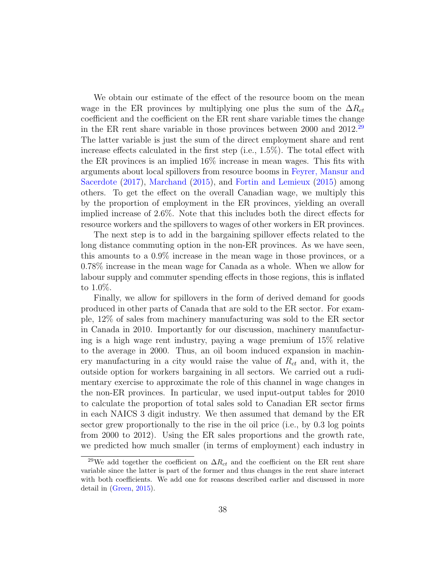We obtain our estimate of the effect of the resource boom on the mean wage in the ER provinces by multiplying one plus the sum of the  $\Delta R_{ct}$ coefficient and the coefficient on the ER rent share variable times the change in the ER rent share variable in those provinces between 2000 and  $2012.^{29}$  $2012.^{29}$  $2012.^{29}$ The latter variable is just the sum of the direct employment share and rent increase effects calculated in the first step (i.e., 1.5%). The total effect with the ER provinces is an implied 16% increase in mean wages. This fits with arguments about local spillovers from resource booms in [Feyrer, Mansur and](#page-44-2) [Sacerdote](#page-44-2) [\(2017\)](#page-44-2), [Marchand](#page-45-4) [\(2015\)](#page-45-4), and [Fortin and Lemieux](#page-45-3) [\(2015\)](#page-45-3) among others. To get the effect on the overall Canadian wage, we multiply this by the proportion of employment in the ER provinces, yielding an overall implied increase of 2.6%. Note that this includes both the direct effects for resource workers and the spillovers to wages of other workers in ER provinces.

The next step is to add in the bargaining spillover effects related to the long distance commuting option in the non-ER provinces. As we have seen, this amounts to a 0.9% increase in the mean wage in those provinces, or a 0.78% increase in the mean wage for Canada as a whole. When we allow for labour supply and commuter spending effects in those regions, this is inflated to 1.0%.

Finally, we allow for spillovers in the form of derived demand for goods produced in other parts of Canada that are sold to the ER sector. For example, 12% of sales from machinery manufacturing was sold to the ER sector in Canada in 2010. Importantly for our discussion, machinery manufacturing is a high wage rent industry, paying a wage premium of 15% relative to the average in 2000. Thus, an oil boom induced expansion in machinery manufacturing in a city would raise the value of  $R_{ct}$  and, with it, the outside option for workers bargaining in all sectors. We carried out a rudimentary exercise to approximate the role of this channel in wage changes in the non-ER provinces. In particular, we used input-output tables for 2010 to calculate the proportion of total sales sold to Canadian ER sector firms in each NAICS 3 digit industry. We then assumed that demand by the ER sector grew proportionally to the rise in the oil price (i.e., by 0.3 log points from 2000 to 2012). Using the ER sales proportions and the growth rate, we predicted how much smaller (in terms of employment) each industry in

<span id="page-37-0"></span><sup>&</sup>lt;sup>29</sup>We add together the coefficient on  $\Delta R_{ct}$  and the coefficient on the ER rent share variable since the latter is part of the former and thus changes in the rent share interact with both coefficients. We add one for reasons described earlier and discussed in more detail in [\(Green,](#page-45-7) [2015\)](#page-45-7).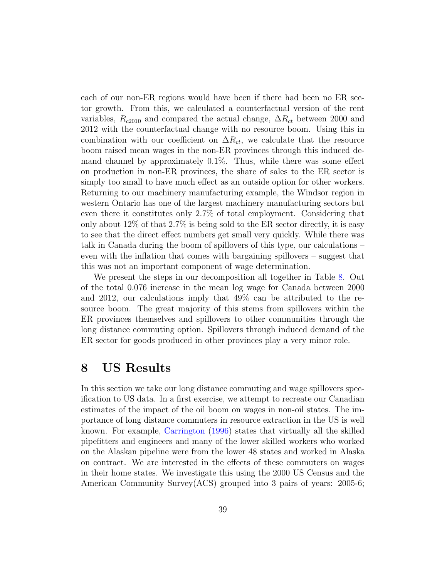each of our non-ER regions would have been if there had been no ER sector growth. From this, we calculated a counterfactual version of the rent variables,  $R_{c2010}$  and compared the actual change,  $\Delta R_{ct}$  between 2000 and 2012 with the counterfactual change with no resource boom. Using this in combination with our coefficient on  $\Delta R_{ct}$ , we calculate that the resource boom raised mean wages in the non-ER provinces through this induced demand channel by approximately 0.1%. Thus, while there was some effect on production in non-ER provinces, the share of sales to the ER sector is simply too small to have much effect as an outside option for other workers. Returning to our machinery manufacturing example, the Windsor region in western Ontario has one of the largest machinery manufacturing sectors but even there it constitutes only 2.7% of total employment. Considering that only about 12% of that 2.7% is being sold to the ER sector directly, it is easy to see that the direct effect numbers get small very quickly. While there was talk in Canada during the boom of spillovers of this type, our calculations – even with the inflation that comes with bargaining spillovers – suggest that this was not an important component of wage determination.

We present the steps in our decomposition all together in Table [8.](#page-54-0) Out of the total 0.076 increase in the mean log wage for Canada between 2000 and 2012, our calculations imply that 49% can be attributed to the resource boom. The great majority of this stems from spillovers within the ER provinces themselves and spillovers to other communities through the long distance commuting option. Spillovers through induced demand of the ER sector for goods produced in other provinces play a very minor role.

### <span id="page-38-0"></span>8 US Results

In this section we take our long distance commuting and wage spillovers specification to US data. In a first exercise, we attempt to recreate our Canadian estimates of the impact of the oil boom on wages in non-oil states. The importance of long distance commuters in resource extraction in the US is well known. For example, [Carrington](#page-44-7) [\(1996\)](#page-44-7) states that virtually all the skilled pipefitters and engineers and many of the lower skilled workers who worked on the Alaskan pipeline were from the lower 48 states and worked in Alaska on contract. We are interested in the effects of these commuters on wages in their home states. We investigate this using the 2000 US Census and the American Community Survey(ACS) grouped into 3 pairs of years: 2005-6;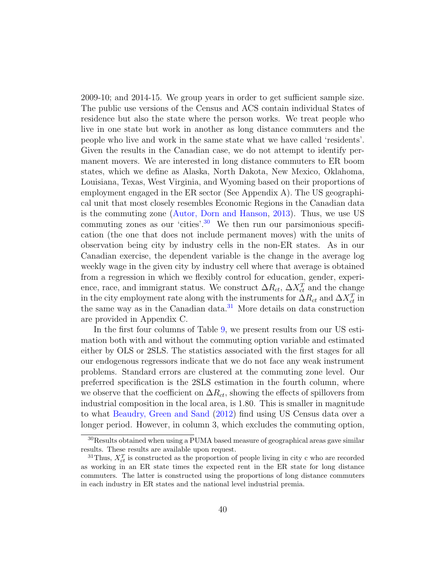2009-10; and 2014-15. We group years in order to get sufficient sample size. The public use versions of the Census and ACS contain individual States of residence but also the state where the person works. We treat people who live in one state but work in another as long distance commuters and the people who live and work in the same state what we have called 'residents'. Given the results in the Canadian case, we do not attempt to identify permanent movers. We are interested in long distance commuters to ER boom states, which we define as Alaska, North Dakota, New Mexico, Oklahoma, Louisiana, Texas, West Virginia, and Wyoming based on their proportions of employment engaged in the ER sector (See Appendix A). The US geographical unit that most closely resembles Economic Regions in the Canadian data is the commuting zone [\(Autor, Dorn and Hanson,](#page-44-8) [2013\)](#page-44-8). Thus, we use US commuting zones as our 'cities'.<sup>[30](#page-39-0)</sup> We then run our parsimonious specification (the one that does not include permanent moves) with the units of observation being city by industry cells in the non-ER states. As in our Canadian exercise, the dependent variable is the change in the average log weekly wage in the given city by industry cell where that average is obtained from a regression in which we flexibly control for education, gender, experience, race, and immigrant status. We construct  $\Delta R_{ct}$ ,  $\Delta X_{ct}^T$  and the change in the city employment rate along with the instruments for  $\Delta R_{ct}$  and  $\Delta X_{ct}^T$  in the same way as in the Canadian data. $31$  More details on data construction are provided in Appendix C.

In the first four columns of Table [9,](#page-55-0) we present results from our US estimation both with and without the commuting option variable and estimated either by OLS or 2SLS. The statistics associated with the first stages for all our endogenous regressors indicate that we do not face any weak instrument problems. Standard errors are clustered at the commuting zone level. Our preferred specification is the 2SLS estimation in the fourth column, where we observe that the coefficient on  $\Delta R_{ct}$ , showing the effects of spillovers from industrial composition in the local area, is 1.80. This is smaller in magnitude to what [Beaudry, Green and Sand](#page-44-4) [\(2012\)](#page-44-4) find using US Census data over a longer period. However, in column 3, which excludes the commuting option,

<span id="page-39-0"></span><sup>&</sup>lt;sup>30</sup>Results obtained when using a PUMA based measure of geographical areas gave similar results. These results are available upon request.

<span id="page-39-1"></span><sup>&</sup>lt;sup>31</sup>Thus,  $X_{ct}^T$  is constructed as the proportion of people living in city c who are recorded as working in an ER state times the expected rent in the ER state for long distance commuters. The latter is constructed using the proportions of long distance commuters in each industry in ER states and the national level industrial premia.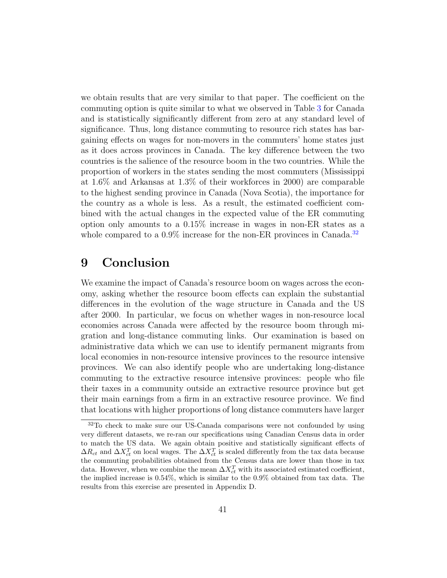we obtain results that are very similar to that paper. The coefficient on the commuting option is quite similar to what we observed in Table [3](#page-49-0) for Canada and is statistically significantly different from zero at any standard level of significance. Thus, long distance commuting to resource rich states has bargaining effects on wages for non-movers in the commuters' home states just as it does across provinces in Canada. The key difference between the two countries is the salience of the resource boom in the two countries. While the proportion of workers in the states sending the most commuters (Mississippi at 1.6% and Arkansas at 1.3% of their workforces in 2000) are comparable to the highest sending province in Canada (Nova Scotia), the importance for the country as a whole is less. As a result, the estimated coefficient combined with the actual changes in the expected value of the ER commuting option only amounts to a 0.15% increase in wages in non-ER states as a whole compared to a  $0.9\%$  increase for the non-ER provinces in Canada.<sup>[32](#page-40-1)</sup>

### <span id="page-40-0"></span>9 Conclusion

We examine the impact of Canada's resource boom on wages across the economy, asking whether the resource boom effects can explain the substantial differences in the evolution of the wage structure in Canada and the US after 2000. In particular, we focus on whether wages in non-resource local economies across Canada were affected by the resource boom through migration and long-distance commuting links. Our examination is based on administrative data which we can use to identify permanent migrants from local economies in non-resource intensive provinces to the resource intensive provinces. We can also identify people who are undertaking long-distance commuting to the extractive resource intensive provinces: people who file their taxes in a community outside an extractive resource province but get their main earnings from a firm in an extractive resource province. We find that locations with higher proportions of long distance commuters have larger

<span id="page-40-1"></span><sup>32</sup>To check to make sure our US-Canada comparisons were not confounded by using very different datasets, we re-ran our specifications using Canadian Census data in order to match the US data. We again obtain positive and statistically significant effects of  $\Delta R_{ct}$  and  $\Delta X_{ct}^T$  on local wages. The  $\Delta X_{ct}^T$  is scaled differently from the tax data because the commuting probabilities obtained from the Census data are lower than those in tax data. However, when we combine the mean  $\Delta X_{ct}^T$  with its associated estimated coefficient, the implied increase is 0.54%, which is similar to the 0.9% obtained from tax data. The results from this exercise are presented in Appendix D.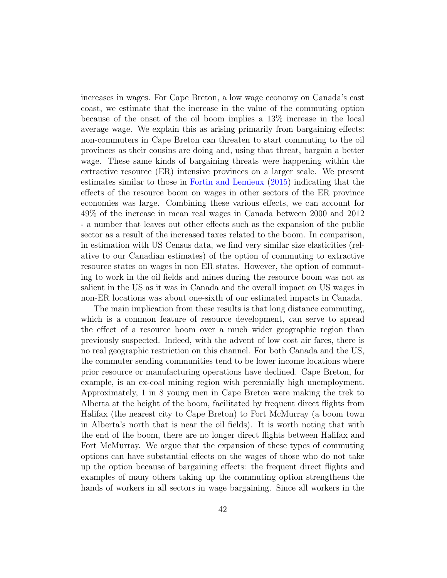increases in wages. For Cape Breton, a low wage economy on Canada's east coast, we estimate that the increase in the value of the commuting option because of the onset of the oil boom implies a 13% increase in the local average wage. We explain this as arising primarily from bargaining effects: non-commuters in Cape Breton can threaten to start commuting to the oil provinces as their cousins are doing and, using that threat, bargain a better wage. These same kinds of bargaining threats were happening within the extractive resource (ER) intensive provinces on a larger scale. We present estimates similar to those in [Fortin and Lemieux](#page-45-3) [\(2015\)](#page-45-3) indicating that the effects of the resource boom on wages in other sectors of the ER province economies was large. Combining these various effects, we can account for 49% of the increase in mean real wages in Canada between 2000 and 2012 - a number that leaves out other effects such as the expansion of the public sector as a result of the increased taxes related to the boom. In comparison, in estimation with US Census data, we find very similar size elasticities (relative to our Canadian estimates) of the option of commuting to extractive resource states on wages in non ER states. However, the option of commuting to work in the oil fields and mines during the resource boom was not as salient in the US as it was in Canada and the overall impact on US wages in non-ER locations was about one-sixth of our estimated impacts in Canada.

The main implication from these results is that long distance commuting, which is a common feature of resource development, can serve to spread the effect of a resource boom over a much wider geographic region than previously suspected. Indeed, with the advent of low cost air fares, there is no real geographic restriction on this channel. For both Canada and the US, the commuter sending communities tend to be lower income locations where prior resource or manufacturing operations have declined. Cape Breton, for example, is an ex-coal mining region with perennially high unemployment. Approximately, 1 in 8 young men in Cape Breton were making the trek to Alberta at the height of the boom, facilitated by frequent direct flights from Halifax (the nearest city to Cape Breton) to Fort McMurray (a boom town in Alberta's north that is near the oil fields). It is worth noting that with the end of the boom, there are no longer direct flights between Halifax and Fort McMurray. We argue that the expansion of these types of commuting options can have substantial effects on the wages of those who do not take up the option because of bargaining effects: the frequent direct flights and examples of many others taking up the commuting option strengthens the hands of workers in all sectors in wage bargaining. Since all workers in the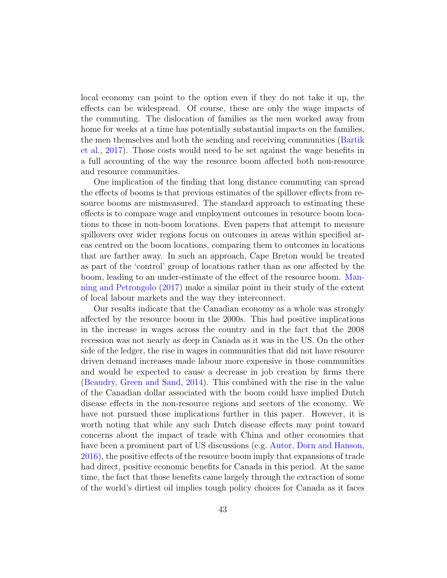local economy can point to the option even if they do not take it up, the effects can be widespread. Of course, these are only the wage impacts of the commuting. The dislocation of families as the men worked away from home for weeks at a time has potentially substantial impacts on the families, the men themselves and both the sending and receiving communities [\(Bartik](#page-44-3) [et al.,](#page-44-3) [2017\)](#page-44-3). Those costs would need to be set against the wage benefits in a full accounting of the way the resource boom affected both non-resource and resource communities.

One implication of the finding that long distance commuting can spread the effects of booms is that previous estimates of the spillover effects from resource booms are mismeasured. The standard approach to estimating these effects is to compare wage and employment outcomes in resource boom locations to those in non-boom locations. Even papers that attempt to measure spillovers over wider regions focus on outcomes in areas within specified areas centred on the boom locations, comparing them to outcomes in locations that are farther away. In such an approach, Cape Breton would be treated as part of the 'control' group of locations rather than as one affected by the boom, leading to an under-estimate of the effect of the resource boom. [Man](#page-45-8)[ning and Petrongolo](#page-45-8) [\(2017\)](#page-45-8) make a similar point in their study of the extent of local labour markets and the way they interconnect.

Our results indicate that the Canadian economy as a whole was strongly affected by the resource boom in the 2000s. This had positive implications in the increase in wages across the country and in the fact that the 2008 recession was not nearly as deep in Canada as it was in the US. On the other side of the ledger, the rise in wages in communities that did not have resource driven demand increases made labour more expensive in those communities and would be expected to cause a decrease in job creation by firms there [\(Beaudry, Green and Sand,](#page-44-5) [2014\)](#page-44-5). This combined with the rise in the value of the Canadian dollar associated with the boom could have implied Dutch disease effects in the non-resource regions and sectors of the economy. We have not pursued those implications further in this paper. However, it is worth noting that while any such Dutch disease effects may point toward concerns about the impact of trade with China and other economies that have been a prominent part of US discussions (e.g. [Autor, Dorn and Hanson,](#page-44-9) [2016\)](#page-44-9), the positive effects of the resource boom imply that expansions of trade had direct, positive economic benefits for Canada in this period. At the same time, the fact that those benefits came largely through the extraction of some of the world's dirtiest oil implies tough policy choices for Canada as it faces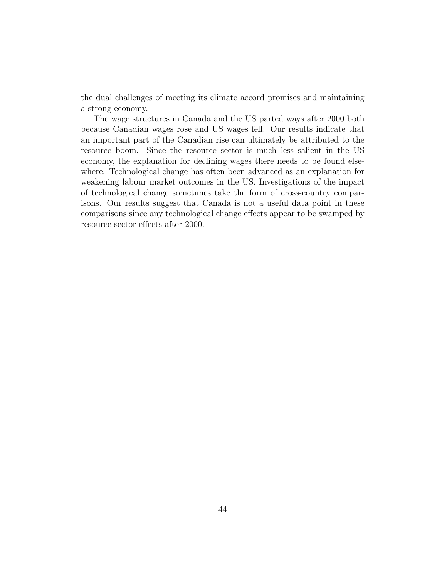the dual challenges of meeting its climate accord promises and maintaining a strong economy.

The wage structures in Canada and the US parted ways after 2000 both because Canadian wages rose and US wages fell. Our results indicate that an important part of the Canadian rise can ultimately be attributed to the resource boom. Since the resource sector is much less salient in the US economy, the explanation for declining wages there needs to be found elsewhere. Technological change has often been advanced as an explanation for weakening labour market outcomes in the US. Investigations of the impact of technological change sometimes take the form of cross-country comparisons. Our results suggest that Canada is not a useful data point in these comparisons since any technological change effects appear to be swamped by resource sector effects after 2000.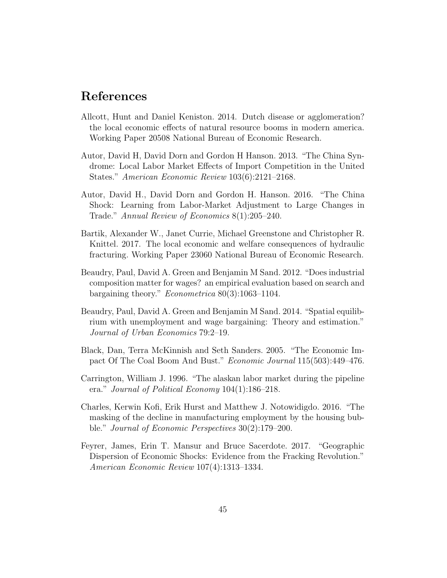### References

- <span id="page-44-1"></span>Allcott, Hunt and Daniel Keniston. 2014. Dutch disease or agglomeration? the local economic effects of natural resource booms in modern america. Working Paper 20508 National Bureau of Economic Research.
- <span id="page-44-8"></span>Autor, David H, David Dorn and Gordon H Hanson. 2013. "The China Syndrome: Local Labor Market Effects of Import Competition in the United States." American Economic Review 103(6):2121–2168.
- <span id="page-44-9"></span>Autor, David H., David Dorn and Gordon H. Hanson. 2016. "The China Shock: Learning from Labor-Market Adjustment to Large Changes in Trade." Annual Review of Economics 8(1):205–240.
- <span id="page-44-3"></span>Bartik, Alexander W., Janet Currie, Michael Greenstone and Christopher R. Knittel. 2017. The local economic and welfare consequences of hydraulic fracturing. Working Paper 23060 National Bureau of Economic Research.
- <span id="page-44-4"></span>Beaudry, Paul, David A. Green and Benjamin M Sand. 2012. "Does industrial composition matter for wages? an empirical evaluation based on search and bargaining theory." Econometrica 80(3):1063–1104.
- <span id="page-44-5"></span>Beaudry, Paul, David A. Green and Benjamin M Sand. 2014. "Spatial equilibrium with unemployment and wage bargaining: Theory and estimation." Journal of Urban Economics 79:2–19.
- <span id="page-44-0"></span>Black, Dan, Terra McKinnish and Seth Sanders. 2005. "The Economic Impact Of The Coal Boom And Bust." Economic Journal 115(503):449–476.
- <span id="page-44-7"></span>Carrington, William J. 1996. "The alaskan labor market during the pipeline era." Journal of Political Economy 104(1):186–218.
- <span id="page-44-6"></span>Charles, Kerwin Kofi, Erik Hurst and Matthew J. Notowidigdo. 2016. "The masking of the decline in manufacturing employment by the housing bubble." Journal of Economic Perspectives 30(2):179–200.
- <span id="page-44-2"></span>Feyrer, James, Erin T. Mansur and Bruce Sacerdote. 2017. "Geographic Dispersion of Economic Shocks: Evidence from the Fracking Revolution." American Economic Review 107(4):1313–1334.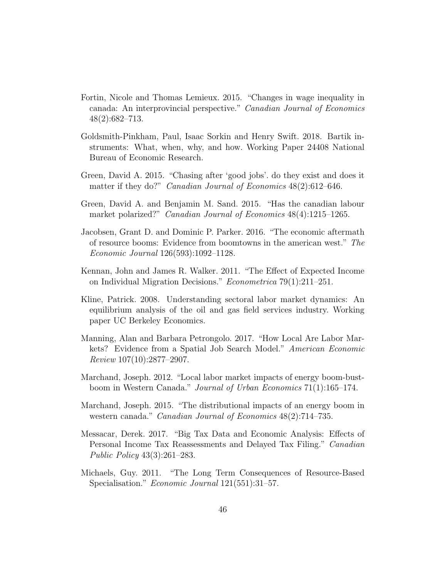- <span id="page-45-3"></span>Fortin, Nicole and Thomas Lemieux. 2015. "Changes in wage inequality in canada: An interprovincial perspective." Canadian Journal of Economics 48(2):682–713.
- <span id="page-45-10"></span>Goldsmith-Pinkham, Paul, Isaac Sorkin and Henry Swift. 2018. Bartik instruments: What, when, why, and how. Working Paper 24408 National Bureau of Economic Research.
- <span id="page-45-7"></span>Green, David A. 2015. "Chasing after 'good jobs'. do they exist and does it matter if they do?" *Canadian Journal of Economics* 48(2):612–646.
- <span id="page-45-5"></span>Green, David A. and Benjamin M. Sand. 2015. "Has the canadian labour market polarized?" *Canadian Journal of Economics* 48(4):1215–1265.
- <span id="page-45-2"></span>Jacobsen, Grant D. and Dominic P. Parker. 2016. "The economic aftermath of resource booms: Evidence from boomtowns in the american west." The Economic Journal 126(593):1092–1128.
- <span id="page-45-9"></span>Kennan, John and James R. Walker. 2011. "The Effect of Expected Income on Individual Migration Decisions." Econometrica 79(1):211–251.
- <span id="page-45-6"></span>Kline, Patrick. 2008. Understanding sectoral labor market dynamics: An equilibrium analysis of the oil and gas field services industry. Working paper UC Berkeley Economics.
- <span id="page-45-8"></span>Manning, Alan and Barbara Petrongolo. 2017. "How Local Are Labor Markets? Evidence from a Spatial Job Search Model." *American Economic* Review 107(10):2877–2907.
- <span id="page-45-1"></span>Marchand, Joseph. 2012. "Local labor market impacts of energy boom-bustboom in Western Canada." Journal of Urban Economics 71(1):165–174.
- <span id="page-45-4"></span>Marchand, Joseph. 2015. "The distributional impacts of an energy boom in western canada." *Canadian Journal of Economics* 48(2):714–735.
- <span id="page-45-11"></span>Messacar, Derek. 2017. "Big Tax Data and Economic Analysis: Effects of Personal Income Tax Reassessments and Delayed Tax Filing." Canadian Public Policy 43(3):261–283.
- <span id="page-45-0"></span>Michaels, Guy. 2011. "The Long Term Consequences of Resource-Based Specialisation." *Economic Journal* 121(551):31–57.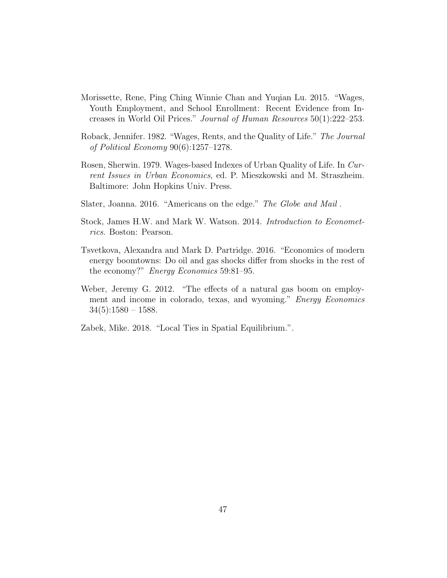- <span id="page-46-2"></span>Morissette, Rene, Ping Ching Winnie Chan and Yuqian Lu. 2015. "Wages, Youth Employment, and School Enrollment: Recent Evidence from Increases in World Oil Prices." Journal of Human Resources 50(1):222–253.
- <span id="page-46-4"></span>Roback, Jennifer. 1982. "Wages, Rents, and the Quality of Life." The Journal of Political Economy 90(6):1257–1278.
- <span id="page-46-3"></span>Rosen, Sherwin. 1979. Wages-based Indexes of Urban Quality of Life. In Current Issues in Urban Economics, ed. P. Mieszkowski and M. Straszheim. Baltimore: John Hopkins Univ. Press.
- <span id="page-46-1"></span>Slater, Joanna. 2016. "Americans on the edge." The Globe and Mail .
- <span id="page-46-7"></span>Stock, James H.W. and Mark W. Watson. 2014. Introduction to Econometrics. Boston: Pearson.
- <span id="page-46-6"></span>Tsvetkova, Alexandra and Mark D. Partridge. 2016. "Economics of modern energy boomtowns: Do oil and gas shocks differ from shocks in the rest of the economy?" Energy Economics 59:81–95.
- <span id="page-46-0"></span>Weber, Jeremy G. 2012. "The effects of a natural gas boom on employment and income in colorado, texas, and wyoming." Energy Economics  $34(5):1580 - 1588.$
- <span id="page-46-5"></span>Zabek, Mike. 2018. "Local Ties in Spatial Equilibrium.".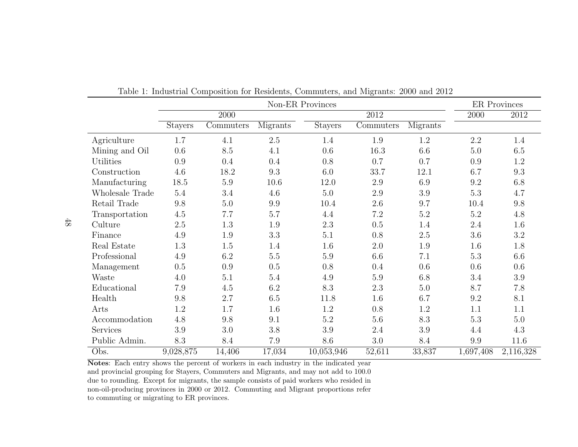|                 | Non-ER Provinces |                   |          |                |                   |          |           | <b>ER</b> Provinces |
|-----------------|------------------|-------------------|----------|----------------|-------------------|----------|-----------|---------------------|
|                 |                  | $\overline{2000}$ |          |                | $\overline{2012}$ |          | 2000      | 2012                |
|                 | <b>Stayers</b>   | Commuters         | Migrants | <b>Stayers</b> | Commuters         | Migrants |           |                     |
| Agriculture     | 1.7              | 4.1               | 2.5      | 1.4            | $1.9\,$           | 1.2      | 2.2       | 1.4                 |
| Mining and Oil  | 0.6              | 8.5               | 4.1      | 0.6            | 16.3              | 6.6      | 5.0       | 6.5                 |
| Utilities       | 0.9              | 0.4               | 0.4      | 0.8            | 0.7               | 0.7      | 0.9       | 1.2                 |
| Construction    | 4.6              | 18.2              | 9.3      | 6.0            | 33.7              | 12.1     | 6.7       | 9.3                 |
| Manufacturing   | 18.5             | $5.9\,$           | 10.6     | 12.0           | $2.9\,$           | 6.9      | 9.2       | 6.8                 |
| Wholesale Trade | $5.4\,$          | 3.4               | 4.6      | $5.0\,$        | $2.9\,$           | $3.9\,$  | $5.3\,$   | 4.7                 |
| Retail Trade    | 9.8              | $5.0\,$           | 9.9      | 10.4           | $2.6\,$           | 9.7      | 10.4      | 9.8                 |
| Transportation  | $4.5\,$          | 7.7               | 5.7      | 4.4            | $7.2\,$           | $5.2\,$  | $5.2\,$   | 4.8                 |
| Culture         | 2.5              | 1.3               | 1.9      | $2.3\,$        | 0.5               | 1.4      | $2.4\,$   | 1.6                 |
| Finance         | 4.9              | $1.9\,$           | 3.3      | $5.1\,$        | 0.8               | $2.5\,$  | $3.6\,$   | 3.2                 |
| Real Estate     | 1.3              | 1.5               | 1.4      | 1.6            | $2.0\,$           | 1.9      | 1.6       | 1.8                 |
| Professional    | 4.9              | 6.2               | $5.5\,$  | $5.9\,$        | 6.6               | 7.1      | $5.3\,$   | 6.6                 |
| Management      | 0.5              | 0.9               | 0.5      | 0.8            | 0.4               | 0.6      | 0.6       | 0.6                 |
| Waste           | 4.0              | 5.1               | 5.4      | 4.9            | $5.9\,$           | 6.8      | 3.4       | 3.9                 |
| Educational     | 7.9              | 4.5               | 6.2      | 8.3            | 2.3               | 5.0      | 8.7       | 7.8                 |
| Health          | 9.8              | 2.7               | 6.5      | 11.8           | 1.6               | 6.7      | 9.2       | 8.1                 |
| Arts            | 1.2              | 1.7               | 1.6      | $1.2\,$        | 0.8               | $1.2\,$  | 1.1       | 1.1                 |
| Accommodation   | 4.8              | 9.8               | 9.1      | $5.2\,$        | $5.6\,$           | 8.3      | $5.3\,$   | 5.0                 |
| Services        | 3.9              | 3.0               | 3.8      | 3.9            | 2.4               | 3.9      | 4.4       | 4.3                 |
| Public Admin.   | 8.3              | 8.4               | 7.9      | 8.6            | $3.0\,$           | 8.4      | 9.9       | 11.6                |
| Obs.            | 9,028,875        | 14,406            | 17,034   | 10,053,946     | 52,611            | 33,837   | 1,697,408 | 2,116,328           |

<span id="page-47-0"></span>Table 1: Industrial Composition for Residents, Commuters, and Migrants: 2000 and 2012

Notes: Each entry shows the percent of workers in each industry in the indicated year and provincial grouping for Stayers, Commuters and Migrants, and may not add to 100.0 due to rounding. Except for migrants, the sample consists of paid workers who resided in non-oil-producing provinces in 2000 or 2012. Commuting and Migrant proportions referto commuting or migrating to ER provinces.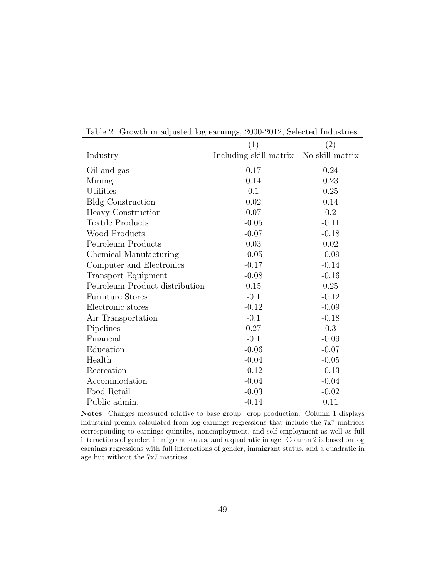|                                | (1)                    | (2)             |
|--------------------------------|------------------------|-----------------|
| Industry                       | Including skill matrix | No skill matrix |
| Oil and gas                    | 0.17                   | 0.24            |
| Mining                         | 0.14                   | 0.23            |
| Utilities                      | 0.1                    | 0.25            |
| <b>Bldg Construction</b>       | 0.02                   | 0.14            |
| Heavy Construction             | 0.07                   | $0.2\,$         |
| <b>Textile Products</b>        | $-0.05$                | $-0.11$         |
| Wood Products                  | $-0.07$                | $-0.18$         |
| Petroleum Products             | 0.03                   | 0.02            |
| Chemical Manufacturing         | $-0.05$                | $-0.09$         |
| Computer and Electronics       | $-0.17$                | $-0.14$         |
| <b>Transport Equipment</b>     | $-0.08$                | $-0.16$         |
| Petroleum Product distribution | 0.15                   | 0.25            |
| <b>Furniture Stores</b>        | $-0.1$                 | $-0.12$         |
| Electronic stores              | $-0.12$                | $-0.09$         |
| Air Transportation             | $-0.1$                 | $-0.18$         |
| Pipelines                      | 0.27                   | 0.3             |
| Financial                      | $-0.1$                 | $-0.09$         |
| Education                      | $-0.06$                | $-0.07$         |
| Health                         | $-0.04$                | $-0.05$         |
| Recreation                     | $-0.12$                | $-0.13$         |
| Accommodation                  | $-0.04$                | $-0.04$         |
| Food Retail                    | $-0.03$                | $-0.02$         |
| Public admin.                  | $-0.14$                | 0.11            |

<span id="page-48-0"></span>Table 2: Growth in adjusted log earnings, 2000-2012, Selected Industries

Notes: Changes measured relative to base group: crop production. Column 1 displays industrial premia calculated from log earnings regressions that include the 7x7 matrices corresponding to earnings quintiles, nonemployment, and self-employment as well as full interactions of gender, immigrant status, and a quadratic in age. Column 2 is based on log earnings regressions with full interactions of gender, immigrant status, and a quadratic in age but without the 7x7 matrices.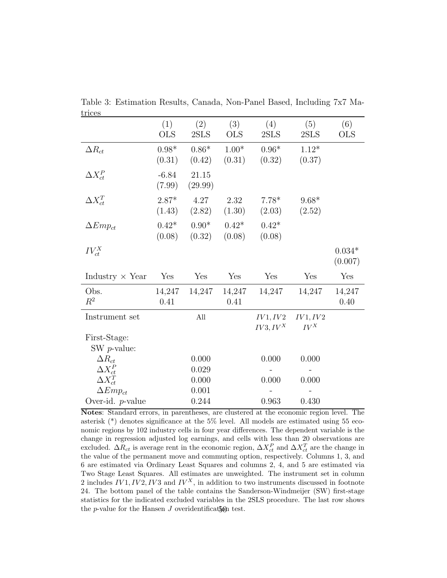| <u>u iced</u>                  |                   |                       |                   |                         |                    |                     |
|--------------------------------|-------------------|-----------------------|-------------------|-------------------------|--------------------|---------------------|
|                                | (1)<br><b>OLS</b> | (2)<br>2SLS           | (3)<br><b>OLS</b> | (4)<br>2SLS             | (5)<br>2SLS        | (6)<br><b>OLS</b>   |
| $\Delta R_{ct}$                | $0.98*$<br>(0.31) | $0.86*$<br>(0.42)     | $1.00*$<br>(0.31) | $0.96*$<br>(0.32)       | $1.12*$<br>(0.37)  |                     |
| $\Delta X_{ct}^P$              | $-6.84$<br>(7.99) | 21.15<br>(29.99)      |                   |                         |                    |                     |
| $\Delta X_{ct}^T$              | $2.87*$<br>(1.43) | 4.27<br>(2.82)        | 2.32<br>(1.30)    | $7.78*$<br>(2.03)       | $9.68*$<br>(2.52)  |                     |
| $\Delta Emp_{ct}$              | $0.42*$<br>(0.08) | $0.90^\ast$<br>(0.32) | $0.42*$<br>(0.08) | $0.42*$<br>(0.08)       |                    |                     |
| $IV_{ct}^X$                    |                   |                       |                   |                         |                    | $0.034*$<br>(0.007) |
| Industry $\times$ Year         | Yes               | Yes                   | Yes               | Yes                     | Yes                | Yes                 |
| Obs.<br>$R^2$                  | 14,247<br>0.41    | 14,247                | 14,247<br>0.41    | 14,247                  | 14,247             | 14,247<br>0.40      |
| Instrument set                 |                   | All                   |                   | IV1, IV2<br>$IV3, IV^X$ | IV1, IV2<br>$IV^X$ |                     |
| First-Stage:<br>SW $p$ -value: |                   |                       |                   |                         |                    |                     |
| $\Delta R_{ct}$                |                   | 0.000                 |                   | 0.000                   | 0.000              |                     |
| $\Delta X_{ct}^P$              |                   | 0.029                 |                   |                         |                    |                     |
| $\Delta X_{ct}^T$              |                   | 0.000                 |                   | 0.000                   | 0.000              |                     |
| $\Delta Emp_{ct}$              |                   | 0.001                 |                   |                         |                    |                     |
| Over-id. $p$ -value            |                   | 0.244                 |                   | 0.963                   | 0.430              |                     |

<span id="page-49-0"></span>Table 3: Estimation Results, Canada, Non-Panel Based, Including 7x7 Matrices

Notes: Standard errors, in parentheses, are clustered at the economic region level. The asterisk (\*) denotes significance at the 5% level. All models are estimated using 55 economic regions by 102 industry cells in four year differences. The dependent variable is the change in regression adjusted log earnings, and cells with less than 20 observations are excluded.  $\Delta R_{ct}$  is average rent in the economic region,  $\Delta X_{ct}^P$  and  $\Delta X_{ct}^T$  are the change in the value of the permanent move and commuting option, respectively. Columns 1, 3, and 6 are estimated via Ordinary Least Squares and columns 2, 4, and 5 are estimated via Two Stage Least Squares. All estimates are unweighted. The instrument set in column 2 includes  $IV1, IV2, IV3$  and  $IV<sup>X</sup>$ , in addition to two instruments discussed in footnote 24. The bottom panel of the table contains the Sanderson-Windmeijer (SW) first-stage statistics for the indicated excluded variables in the 2SLS procedure. The last row shows the p-value for the Hansen  $J$  overidentification test.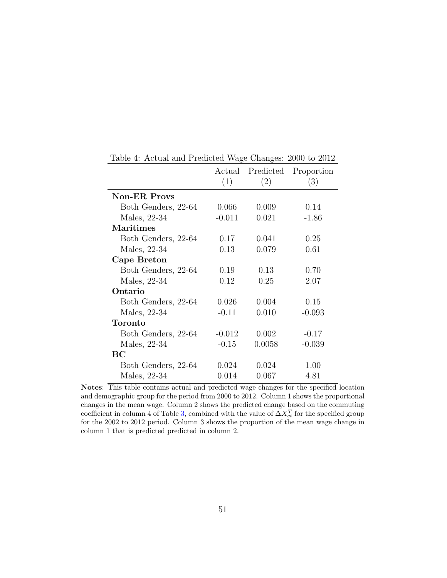|                     |          | Actual Predicted | Proportion |
|---------------------|----------|------------------|------------|
|                     | (1)      | (2)              | (3)        |
| <b>Non-ER Provs</b> |          |                  |            |
| Both Genders, 22-64 | 0.066    | 0.009            | 0.14       |
| Males, 22-34        | $-0.011$ | 0.021            | $-1.86$    |
| <b>Maritimes</b>    |          |                  |            |
| Both Genders, 22-64 | 0.17     | 0.041            | 0.25       |
| Males, 22-34        | 0.13     | 0.079            | 0.61       |
| Cape Breton         |          |                  |            |
| Both Genders, 22-64 | 0.19     | 0.13             | 0.70       |
| Males, 22-34        | 0.12     | 0.25             | 2.07       |
| Ontario             |          |                  |            |
| Both Genders, 22-64 | 0.026    | 0.004            | 0.15       |
| Males, 22-34        | $-0.11$  | 0.010            | $-0.093$   |
| Toronto             |          |                  |            |
| Both Genders, 22-64 | $-0.012$ | 0.002            | $-0.17$    |
| Males, 22-34        | $-0.15$  | 0.0058           | $-0.039$   |
| BС                  |          |                  |            |
| Both Genders, 22-64 | 0.024    | 0.024            | 1.00       |
| Males, 22-34        | 0.014    | 0.067            | 4.81       |

<span id="page-50-0"></span>Table 4: Actual and Predicted Wage Changes: 2000 to 2012

Notes: This table contains actual and predicted wage changes for the specified location and demographic group for the period from 2000 to 2012. Column 1 shows the proportional changes in the mean wage. Column 2 shows the predicted change based on the commuting coefficient in column 4 of Table [3,](#page-49-0) combined with the value of  $\Delta X_{ct}^T$  for the specified group for the 2002 to 2012 period. Column 3 shows the proportion of the mean wage change in column 1 that is predicted predicted in column 2.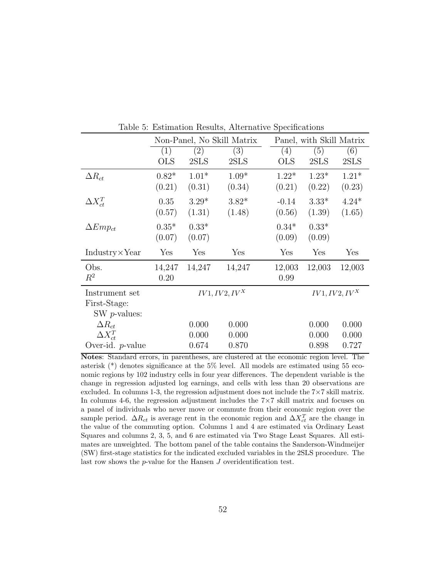|                        | Non-Panel, No Skill Matrix |         |                  |              | Panel, with Skill Matrix |                  |
|------------------------|----------------------------|---------|------------------|--------------|--------------------------|------------------|
|                        | (1)                        | (2)     | (3)              | (4)          | (5)                      | (6)              |
|                        | $_{\rm OLS}$               | 2SLS    | 2SLS             | $_{\rm OLS}$ | 2SLS                     | 2SLS             |
| $\Delta R_{ct}$        | $0.82*$                    | $1.01*$ | $1.09*$          | $1.22*$      | $1.23*$                  | $1.21*$          |
|                        | (0.21)                     | (0.31)  | (0.34)           | (0.21)       | (0.22)                   | (0.23)           |
| $\Delta X_{ct}^T$      | 0.35                       | $3.29*$ | $3.82*$          | $-0.14$      | $3.33*$                  | $4.24*$          |
|                        | (0.57)                     | (1.31)  | (1.48)           | (0.56)       | (1.39)                   | (1.65)           |
| $\Delta Emp_{ct}$      | $0.35*$                    | $0.33*$ |                  | $0.34*$      | $0.33*$                  |                  |
|                        | (0.07)                     | (0.07)  |                  | (0.09)       | (0.09)                   |                  |
|                        |                            |         |                  |              |                          |                  |
| $Industry \times Year$ | Yes                        | Yes     | Yes              | Yes          | Yes                      | Yes              |
| Obs.                   | 14,247                     | 14,247  | 14,247           | 12,003       | 12,003                   | 12,003           |
| $R^2$                  | 0.20                       |         |                  | 0.99         |                          |                  |
| Instrument set         |                            |         | $IV1, IV2, IV^X$ |              |                          | $IV1, IV2, IV^X$ |
| First-Stage:           |                            |         |                  |              |                          |                  |
| $SW$ <i>p</i> -values: |                            |         |                  |              |                          |                  |
| $\Delta R_{ct}$        |                            | 0.000   | 0.000            |              | 0.000                    | 0.000            |
| $\Delta X_{ct}^T$      |                            | 0.000   | 0.000            |              | 0.000                    | 0.000            |

<span id="page-51-0"></span>Table 5: Estimation Results, Alternative Specifications

Notes: Standard errors, in parentheses, are clustered at the economic region level. The asterisk (\*) denotes significance at the 5% level. All models are estimated using 55 economic regions by 102 industry cells in four year differences. The dependent variable is the change in regression adjusted log earnings, and cells with less than 20 observations are excluded. In columns 1-3, the regression adjustment does not include the  $7\times7$  skill matrix. In columns 4-6, the regression adjustment includes the 7×7 skill matrix and focuses on a panel of individuals who never move or commute from their economic region over the sample period.  $\Delta R_{ct}$  is average rent in the economic region and  $\Delta X_{ct}^T$  are the change in the value of the commuting option. Columns 1 and 4 are estimated via Ordinary Least Squares and columns 2, 3, 5, and 6 are estimated via Two Stage Least Squares. All estimates are unweighted. The bottom panel of the table contains the Sanderson-Windmeijer (SW) first-stage statistics for the indicated excluded variables in the 2SLS procedure. The last row shows the  $p$ -value for the Hansen  $J$  overidentification test.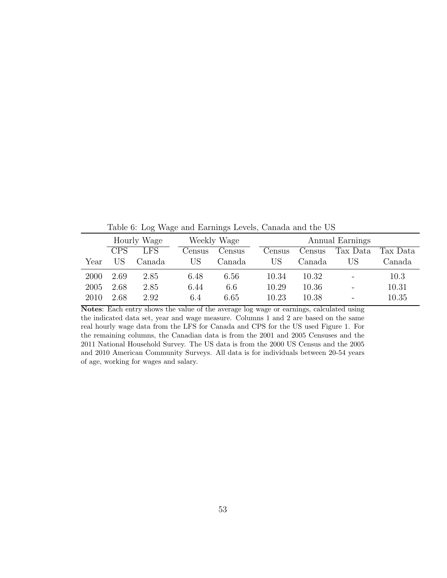<span id="page-52-0"></span>Table 6: Log Wage and Earnings Levels, Canada and the US

|      |            | Hourly Wage |        | Weekly Wage |        |        | Annual Earnings |          |
|------|------------|-------------|--------|-------------|--------|--------|-----------------|----------|
|      | <b>CPS</b> | <b>LFS</b>  | Census | Census      | Census | Census | Tax Data        | Tax Data |
| Year | НS         | Canada      | US     | Canada      | US     | Canada | US              | Canada   |
| 2000 | 2.69       | 2.85        | 6.48   | 6.56        | 10.34  | 10.32  |                 | 10.3     |
| 2005 | 2.68       | 2.85        | 6.44   | 6.6         | 10.29  | 10.36  |                 | 10.31    |
| 2010 | 2.68       | 2.92        | 6.4    | 6.65        | 10.23  | 10.38  |                 | 10.35    |

Notes: Each entry shows the value of the average log wage or earnings, calculated using the indicated data set, year and wage measure. Columns 1 and 2 are based on the same real hourly wage data from the LFS for Canada and CPS for the US used Figure 1. For the remaining columns, the Canadian data is from the 2001 and 2005 Censuses and the 2011 National Household Survey. The US data is from the 2000 US Census and the 2005 and 2010 American Community Surveys. All data is for individuals between 20-54 years of age, working for wages and salary.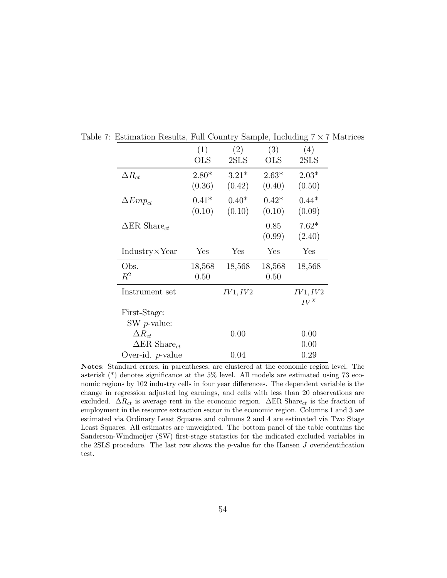<span id="page-53-0"></span>

|                                 | (1)        | (2)      | (3)        | (4)      |
|---------------------------------|------------|----------|------------|----------|
|                                 | <b>OLS</b> | 2SLS     | <b>OLS</b> | 2SLS     |
| $\Delta R_{ct}$                 | $2.80*$    | $3.21*$  | $2.63*$    | $2.03*$  |
|                                 | (0.36)     | (0.42)   | (0.40)     | (0.50)   |
| $\Delta Emp_{ct}$               | $0.41*$    | $0.40*$  | $0.42*$    | $0.44*$  |
|                                 | (0.10)     | (0.10)   | (0.10)     | (0.09)   |
| $\Delta$ ER Share <sub>ct</sub> |            |          | 0.85       | $7.62*$  |
|                                 |            |          | (0.99)     | (2.40)   |
| $Industry \times Year$          | Yes        | Yes      | Yes        | Yes      |
| Obs.                            | 18,568     | 18,568   | 18,568     | 18,568   |
| $R^2$                           | 0.50       |          | 0.50       |          |
| Instrument set                  |            | IV1, IV2 |            | IV1, IV2 |
|                                 |            |          |            | $IV^X$   |
| First-Stage:                    |            |          |            |          |
| SW $p$ -value:                  |            |          |            |          |
| $\Delta R_{ct}$                 |            | 0.00     |            | 0.00     |
| $\Delta$ ER Share <sub>ct</sub> |            |          |            | 0.00     |
| Over-id. $p$ -value             |            | 0.04     |            | 0.29     |

Table 7: Estimation Results, Full Country Sample, Including  $7 \times 7$  Matrices

Notes: Standard errors, in parentheses, are clustered at the economic region level. The asterisk (\*) denotes significance at the 5% level. All models are estimated using 73 economic regions by 102 industry cells in four year differences. The dependent variable is the change in regression adjusted log earnings, and cells with less than 20 observations are excluded.  $\Delta R_{ct}$  is average rent in the economic region.  $\Delta ER$  Share<sub>ct</sub> is the fraction of employment in the resource extraction sector in the economic region. Columns 1 and 3 are estimated via Ordinary Least Squares and columns 2 and 4 are estimated via Two Stage Least Squares. All estimates are unweighted. The bottom panel of the table contains the Sanderson-Windmeijer (SW) first-stage statistics for the indicated excluded variables in the 2SLS procedure. The last row shows the  $p$ -value for the Hansen  $J$  overidentification test.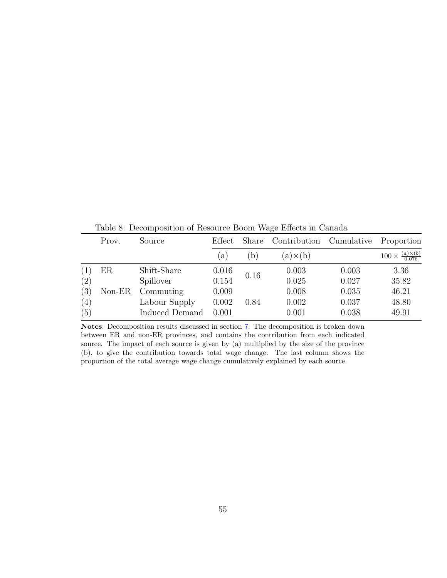|     | Prov.    | Source         | Effect       | Share        | Contribution Cumulative |       | Proportion                                |
|-----|----------|----------------|--------------|--------------|-------------------------|-------|-------------------------------------------|
|     |          |                | $\mathbf{a}$ | $\mathbf{b}$ | $(a) \times (b)$        |       | $100 \times \frac{(a) \times (b)}{0.076}$ |
| (1) | $\rm ER$ | Shift-Share    | 0.016        |              | 0.003                   | 0.003 | 3.36                                      |
| (2) |          | Spillover      | 0.154        | 0.16         | 0.025                   | 0.027 | 35.82                                     |
| (3) | $Non-ER$ | Commuting      | 0.009        |              | 0.008                   | 0.035 | 46.21                                     |
| (4) |          | Labour Supply  | 0.002        | 0.84         | 0.002                   | 0.037 | 48.80                                     |
| (5) |          | Induced Demand | 0.001        |              | 0.001                   | 0.038 | 49.91                                     |

<span id="page-54-0"></span>Table 8: Decomposition of Resource Boom Wage Effects in Canada

Notes: Decomposition results discussed in section [7.](#page-35-0) The decomposition is broken down between ER and non-ER provinces, and contains the contribution from each indicated source. The impact of each source is given by (a) multiplied by the size of the province (b), to give the contribution towards total wage change. The last column shows the proportion of the total average wage change cumulatively explained by each source.